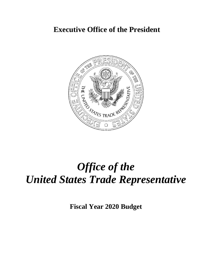# **Executive Office of the President**



# *Office of the United States Trade Representative*

**Fiscal Year 2020 Budget**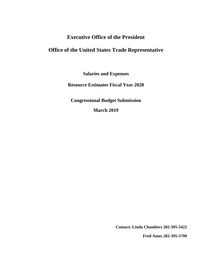# **Executive Office of the President**

# **Office of the United States Trade Representative**

**Salaries and Expenses**

**Resource Estimates Fiscal Year 2020**

**Congressional Budget Submission**

**March 2019**

**Contact: Linda Chambers 202-395-5422**

**Fred Ames 202-395-5799**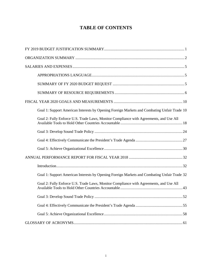### **TABLE OF CONTENTS**

| Goal 1: Support American Interests by Opening Foreign Markets and Combating Unfair Trade 10 |
|---------------------------------------------------------------------------------------------|
| Goal 2: Fully Enforce U.S. Trade Laws, Monitor Compliance with Agreements, and Use All      |
|                                                                                             |
|                                                                                             |
|                                                                                             |
|                                                                                             |
|                                                                                             |
| Goal 1: Support American Interests by Opening Foreign Markets and Combating Unfair Trade 32 |
| Goal 2: Fully Enforce U.S. Trade Laws, Monitor Compliance with Agreements, and Use All      |
|                                                                                             |
|                                                                                             |
|                                                                                             |
|                                                                                             |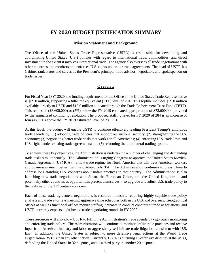### **FY 2020 BUDGET JUSTIFICATION SUMMARY**

#### **Mission Statement and Background**

<span id="page-3-0"></span>The Office of the United States Trade Representative (USTR) is responsible for developing and coordinating United States (U.S.) policies with regard to international trade, commodities, and direct investment to the extent it involves international trade. The agency also oversees all trade negotiations with other countries and monitors and enforces U.S. rights under our trade agreements. The head of USTR has Cabinet-rank status and serves as the President's principal trade advisor, negotiator, and spokesperson on trade issues.

#### <span id="page-3-1"></span>**Overview**

For Fiscal Year (FY) 2020, the funding requirement for the Office of the United States Trade Representative is \$69.0 million, supporting a full-time equivalent (FTE) level of 284. This topline includes \$59.0 million available directly to USTR and \$10.0 million allocated through the Trade Enforcement Trust Fund (TETF). This request is (\$3,600,000) or (5%) below the FY 2019 estimated appropriation of \$72,600,000 provided by the annualized continuing resolution. The proposed staffing level for FY 2020 of 284 is an increase of four (4) FTEs above the FY 2019 estimated level of 280 FTE.

At this level, the budget will enable USTR to continue effectively leading President Trump's ambitious trade agenda by: (1) adopting trade policies that support our national security; (2) strengthening the U.S. economy; (3) negotiating better trade deals that work for all Americans; (4) enforcing U.S. trade laws and U.S. rights under existing trade agreements; and (5) reforming the multilateral trading system.

To achieve these key objectives, the Administration is undertaking a number of challenging and demanding trade tasks simultaneously. The Administration is urging Congress to approve the United States-Mexico-Canada Agreement (USMCA) – a new trade regime for North America that will treat American workers and businesses much better than the outdated NAFTA. The Administration continues to press China to address long-standing U.S. concerns about unfair practices in that country. The Administration is also launching new trade negotiations with Japan, the European Union, and the United Kingdom -- and potentially other countries as opportunities present themselves -- to upgrade and adjust U.S. trade policy to the realities of the  $21<sup>st</sup>$  century economy.

Each of these trade agreement negotiations is resource intensive, requiring highly capable trade policy analysts and trade attorneys meeting aggressive time schedules both in the U.S. and overseas. Geographical offices as well as functional offices require staffing increases to conduct concurrent trade negotiations, and USTR currently expects eight hosted trade negotiating rounds in FY 2020.

These resources will also allow USTR to fulfill the Administration's trade agenda by vigorously monitoring and enforcing trade policy. The Administration will continue to monitor unfair trade practices and receive input from American industry and labor to aggressively self-initiate trade litigation, consistent with U.S. law. In addition, the United States is subject to more defensive legal actions at the World Trade Organization (WTO) than any other nation. Currently, USTR is pursuing 18 offensive disputes at the WTO, defending the United States in 32 disputes, and is a third party in another 20 disputes.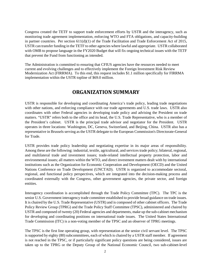Congress created the TETF to support trade enforcement efforts by USTR and the interagency, such as monitoring trade agreement implementation, enforcing WTO and FTA obligations, and capacity-building in partner countries. Per section 611(d)(1) of the Trade Facilitation and Trade Enforcement Act of 2015, USTR can transfer funding in the TETF to other agencies where lawful and appropriate. USTR collaborated with OMB to propose language in the FY2020 Budget that will fix ongoing technical issues with the TETF that prevent the Fund from functioning as intended.

The Administration is committed to ensuring that CFIUS agencies have the resources needed to meet current and evolving challenges and to effectively implement the Foreign Investment Risk Review Modernization Act (FIRRMA). To this end, this request includes \$1.1 million specifically for FIRRMA implementation within the USTR topline of \$69.0 million.

### **ORGANIZATION SUMMARY**

USTR is responsible for developing and coordinating America's trade policy, leading trade negotiations with other nations, and enforcing compliance with our trade agreements and U.S. trade laws. USTR also coordinates with other Federal agencies in developing trade policy and advising the President on trade matters. "USTR" refers both to the office and its head, the U.S. Trade Representative, who is a member of the President's cabinet. USTR is the principal trade advisor and negotiator for the President. USTR operates in three locations: Washington, DC, Geneva, Switzerland, and Beijing, China. USTR also has a representative in Brussels serving as the USTR delegate to the European Commission's Directorate-General for Trade.

USTR provides trade policy leadership and negotiating expertise in its major areas of responsibility. Among these are the following: industrial, textile, agricultural, and services trade policy; bilateral, regional, and multilateral trade and investment issues; trade-related intellectual property protection, labor and environmental issues; all matters within the WTO, and direct investment matters dealt with by international institutions such as the Organization for Economic Cooperation and Development (OECD) and the United Nations Conference on Trade Development (UNCTAD). USTR is organized to accommodate sectoral, regional, and functional policy perspectives, which are integrated into the decision-making process and coordinated externally with the Congress, other government agencies, the private sector, and foreign entities.

Interagency coordination is accomplished through the Trade Policy Committee (TPC). The TPC is the senior U.S. Government interagency trade committee established to provide broad guidance on trade issues. It is chaired by the U.S. Trade Representative (USTR) and is composed of other cabinet officers. The Trade Policy Review Group (TPRG) and the Trade Policy Staff Committee (TPSC), administered and chaired by USTR and composed of twenty (20) Federal agencies and departments, make up the sub-cabinet mechanism for developing and coordinating positions on international trade issues. The United States International Trade Commission (ITC) is a non-voting member of the TPSC and an observer of TPRG meetings.

The TPSC is the first line operating group, with representation at the senior civil servant level. The TPSC is supported by eighty (80) subcommittees, each of which is chaired by a USTR staff member. If agreement is not reached in the TPSC, or if particularly significant policy questions are being considered, issues are taken up to the TPRG or the Deputy Group of the National Economic Council, two sub-cabinet-level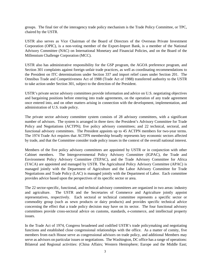groups. The final tier of the interagency trade policy mechanism is the Trade Policy Committee, or TPC, chaired by the USTR.

USTR also serves as Vice Chairman of the Board of Directors of the Overseas Private Investment Corporation (OPIC), is a non-voting member of the Export-Import Bank, is a member of the National Advisory Committee (NAC) on International Monetary and Financial Policies, and on the Board of the Millennium Challenge Corporation (MCC).

USTR also has administrative responsibility for the GSP program, the AGOA preference program, and Section 301 complaints against foreign unfair trade practices, as well as coordinating recommendations to the President on ITC determinations under Section 337 and import relief cases under Section 201. The Omnibus Trade and Competitiveness Act of 1988 (Trade Act of 1988) transferred authority to the USTR to take action under Section 301, subject to the direction of the President.

USTR's private sector advisory committees provide information and advice on U.S. negotiating objectives and bargaining positions before entering into trade agreements, on the operation of any trade agreement once entered into, and on other matters arising in connection with the development, implementation, and administration of U.S. trade policy.

The private sector advisory committee system consists of 28 advisory committees, with a significant number of advisors. The system is arranged in three tiers: the President's Advisory Committee for Trade Policy and Negotiations (ACTPN); five policy advisory committees; and 22 technical, sectoral, and functional advisory committees. The President appoints up to 45 ACTPN members for two-year terms. The 1974 Trade Act requires that ACTPN membership broadly represents key economic sectors affected by trade, and that the Committee consider trade policy issues in the context of the overall national interest.

Members of the five policy advisory committees are appointed by USTR or in conjunction with other Cabinet members. The Intergovernmental Policy Advisory Committee (IGPAC), the Trade and Environment Policy Advisory Committee (TEPAC), and the Trade Advisory Committee for Africa (TACA) are appointed and managed by USTR. The Agricultural Policy Advisory Committee (APAC) is managed jointly with the Department of Agriculture and the Labor Advisory Committee for Trade Negotiations and Trade Policy (LAC) is managed jointly with the Department of Labor. Each committee provides advice based upon the perspectives of its specific sector or area.

The 22 sector-specific, functional, and technical advisory committees are organized in two areas: industry and agriculture. The USTR and the Secretaries of Commerce and Agriculture jointly appoint representatives, respectively. Each sectoral or technical committee represents a specific sector or commodity group (such as sewn products or dairy products) and provides specific technical advice concerning the effect that a trade policy decision may have on its sector. The four functional advisory committees provide cross-sectoral advice on customs, standards, e-commerce, and intellectual property issues.

In the Trade Act of 1974, Congress broadened and codified USTR's trade policymaking and negotiating functions and established close congressional relationships with the office. As a matter of comity, five members from each House serve as congressional advisors on trade policy, and additional Members may serve as advisors on particular issues or negotiations. The Washington, DC office has a range of operations: Bilateral and Regional activities: (China Affairs; Western Hemisphere; Europe and the Middle East;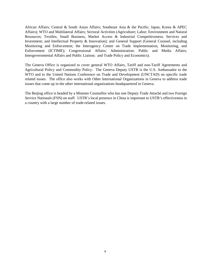African Affairs; Central & South Asian Affairs; Southeast Asia & the Pacific; Japan, Korea & APEC Affairs); WTO and Multilateral Affairs; Sectoral Activities (Agriculture; Labor; Environment and Natural Resources; Textiles; Small Business, Market Access & Industrial Competitiveness; Services and Investment; and Intellectual Property & Innovation); and General Support (General Counsel, including Monitoring and Enforcement; the Interagency Center on Trade Implementation, Monitoring, and Enforcement (ICTIME); Congressional Affairs; Administration; Public and Media Affairs; Intergovernmental Affairs and Public Liaison; and Trade Policy and Economics).

The Geneva Office is organized to cover general WTO Affairs, Tariff and non-Tariff Agreements and Agricultural Policy and Commodity Policy. The Geneva Deputy USTR is the U.S. Ambassador to the WTO and to the United Nations Conference on Trade and Development (UNCTAD) on specific trade related issues. The office also works with Other International Organizations in Geneva to address trade issues that come up in the other international organizations headquartered in Geneva.

The Beijing office is headed by a Minister Counsellor who has one Deputy Trade Attaché and two Foreign Service Nationals (FSN) on staff. USTR's local presence in China is important to USTR's effectiveness in a country with a large number of trade-related issues.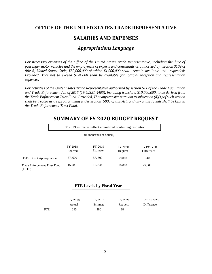### <span id="page-7-0"></span>**OFFICE OF THE UNITED STATES TRADE REPRESENTATIVE**

### **SALARIES AND EXPENSES**

### *Appropriations Language*

<span id="page-7-1"></span>*For necessary expenses of the Office of the United States Trade Representative, including the hire of passenger motor vehicles and the employment of experts and consultants as authorized by section 3109 of title 5, United States Code, \$59,000,000 of which \$1,000,000 shall remain available until expended: Provided, That not to exceed \$124,000 shall be available for official reception and representation expenses.*

*For activities of the United States Trade Representative authorized by section 611 of the Trade Facilitation and Trade Enforcement Act of 2015 (19 U.S.C. 4405), including transfers, \$10,000,000, to be derived from the Trade Enforcement Trust Fund: Provided, That any transfer pursuant to subsection (d)(1) of such section shall be treated as a reprogramming under section 5005 of this Act; and any unused funds shall be kept in the Trade Enforcement Trust Fund.*

|                                        | FY 2019 estimates reflect annualized continuing resolution<br>(in thousands of dollars) |                     |                    |                                |  |  |
|----------------------------------------|-----------------------------------------------------------------------------------------|---------------------|--------------------|--------------------------------|--|--|
|                                        |                                                                                         |                     |                    |                                |  |  |
|                                        | FY 2018<br>Enacted                                                                      | FY 2019<br>Estimate | FY 2020<br>Request | <b>FY19/FY20</b><br>Difference |  |  |
| <b>USTR Direct Appropriation</b>       | 57,600                                                                                  | 57,600              | 59,000             | 1,400                          |  |  |
| Trade Enforcement Trust Fund<br>(TETF) | 15,000                                                                                  | 15,000              | 10,000             | $-5,000$                       |  |  |

# <span id="page-7-2"></span>**SUMMARY OF FY 2020 BUDGET REQUEST**

### **FTE Levels by Fiscal Year**

|            | FY 2018 | FY 2019  | FY 2020 | <b>FY19/FY20</b> |
|------------|---------|----------|---------|------------------|
|            | Actual  | Estimate | Request | Difference       |
| <b>FTE</b> | 243     | 280      | 284     | 4                |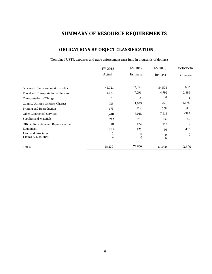# **SUMMARY OF RESOURCE REQUIREMENTS**

## **OBLIGATIONS BY OBJECT CLASSIFICATION**

(Combined USTR expenses and trade enforcement trust fund in thousands of dollars)

<span id="page-8-0"></span>

|                                             | FY 2018 | FY 2019               |                          | <b>FY19/FY20</b>     |  |
|---------------------------------------------|---------|-----------------------|--------------------------|----------------------|--|
|                                             | Actual  | Estimate              | Request                  | Difference           |  |
| Personnel Compensation & Benefits           | 45,721  | 53,853                | 54,505                   | 652                  |  |
| Travel and Transportation of Persons        | 4,037   | 7,291                 | 4,792                    | $-2,499$             |  |
| <b>Transportation of Things</b>             |         | 2                     | 0                        | $-2$                 |  |
| Comm., Utilities, & Misc. Charges           | 755     | 1,943                 | 765                      | $-1,178$             |  |
| Printing and Reproduction                   | 175     | 219                   | 208                      | $-11$                |  |
| <b>Other Contractual Services</b>           | 6,418   | 8,015                 | 7,618                    | $-397$               |  |
| Supplies and Materials                      | 785     | 981                   | 932                      | -49                  |  |
| Official Reception and Representation       | 40      | 124                   | 124                      | $\theta$             |  |
| Equipment                                   | 193     | 172                   | 56                       | $-116$               |  |
| Land and Structures<br>Claims & Liabilities | 2<br>4  | 0<br>$\boldsymbol{0}$ | $\mathbf{0}$<br>$\theta$ | $\theta$<br>$\Omega$ |  |
| Totals                                      | 58,130  | 72,600                | 69,000                   | $-3,600$             |  |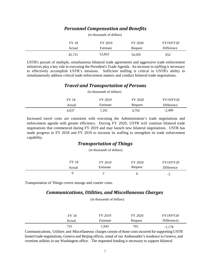### *Personnel Compensation and Benefits*

|              | (in thousands of dollars) |         |                  |
|--------------|---------------------------|---------|------------------|
| <b>FY 18</b> | FY 2019                   | FY 2020 | <b>FY19/FY20</b> |
| Actual       | Estimate                  | Request | Difference       |
| 45,721       | 53,853                    | 54,505  | 652              |

USTR's pursuit of multiple, simultaneous bilateral trade agreements and aggressive trade enforcement initiatives play a key role in executing the President's Trade Agenda. An increase in staffing is necessary to effectively accomplish USTR's missions. Sufficient staffing is critical to USTR's ability to simultaneously address critical trade enforcement matters and conduct bilateral trade negotiations.

### *Travel and Transportation of Persons*

|        | (in thousands of dollars) |         |                  |
|--------|---------------------------|---------|------------------|
| FY 18  | FY 2019                   | FY 2020 | <b>FY19/FY20</b> |
| Actual | Estimate                  | Request | Difference       |
| 4.037  | 7,291                     | 4,792   | $-2,499$         |

Increased travel costs are consistent with executing the Administration's trade negotiations and enforcement agenda with greater efficiency. During FY 2020, USTR will continue bilateral trade negotiations that commenced during FY 2019 and may launch new bilateral negotiations. USTR has made progress in FY 2018 and FY 2019 to increase its staffing to strengthen its trade enforcement capability.

### *Transportation of Things*

(in thousands of dollars)

| FY 18  | FY 2019  | FY 2020 | <b>FY19/FY20</b> |
|--------|----------|---------|------------------|
| Actual | Estimate | Request | Difference       |
|        | ⊷        |         | $-4$             |

Transportation of Things covers storage and courier costs.

### *Communications, Utilities, and Miscellaneous Charges*

(in thousands of dollars)

| FY 18  | FY 2019  | FY 2020 | <b>FY19/FY20</b> |
|--------|----------|---------|------------------|
| Actual | Estimate | Request | Difference)      |
| 755    | 943,ا    | 765     | $-1,178$         |

Communications, Utilities and Miscellaneous charges consist of those costs incurred for supporting USTR hosted trade negotiations, Geneva and Beijing offices, rental of our Ambassador's residence in Geneva, and overtime utilities in our Washington office. The requested funding is necessary to support bilateral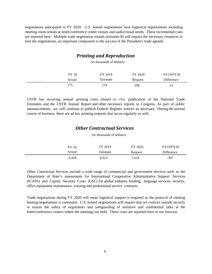negotiations anticipated in FY 2020. U.S. hosted negotiations have logistical requirements including meeting room rentals at hotel/conference center venues and audio/visual needs. These incremental costs are reported here. Multiple trade negotiation rounds (estimate 8) will require the necessary resources to host the negotiations, an important component to the success of the President's trade agenda.

### *Printing and Reproduction*

(in thousands of dollars)

| FY 18  | FY 2019  | FY 2020 | <b>FY19/FY20</b> |
|--------|----------|---------|------------------|
| Actual | Estimate | Request | Difference       |
| 175    | 219      | 208     | $-11$            |

USTR has recurring annual printing costs related to the publication of the National Trade Estimates and the USTR Annual Report and other necessary reports to Congress. As part of public announcements, we will continue to publish Federal Register notices as necessary. During the normal course of business, there are ad hoc printing requests that occur regularly as well.

### *Other Contractual Services*

(in thousands of dollars)

| <b>FY 18</b> | FY 2019  | FY 2020 | <b>FY19/FY20</b> |
|--------------|----------|---------|------------------|
| Actual       | Estimate | Request | Difference       |
| 6,418        | 8,015    | 7,618   | $-397$           |

Other Contractual Services include a wide range of commercial and government services such as the Department of State's assessments for International Cooperative Administrative Support Services (ICASS) and Capital Security Costs (CSC) for global embassy funding, language services, security, office equipment maintenance, training and professional service contracts.

Trade negotiations during FY 2020 will mean logistical support is required as the protocol of rotating hosting negotiations is continued. U.S. hosted negotiations will require that we contract outside security to ensure the safety of negotiators and safeguarding of sensitive and confidential talks at the hotel/conference centers where the meetings are held. These costs are reported here in our forecast.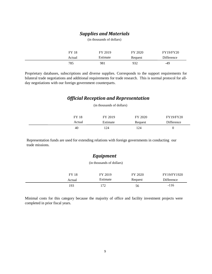### *Supplies and Materials* (in thousands of dollars)

| <b>FY 18</b> | FY 2019  | FY 2020 | <b>FY19/FY20</b> |
|--------------|----------|---------|------------------|
| Actual       | Estimate | Request | Difference       |
|              |          |         |                  |

Proprietary databases, subscriptions and diverse supplies. Corresponds to the support requirements for bilateral trade negotiations and additional requirements for trade research. This is normal protocol for allday negotiations with our foreign government counterparts.

### *Official Reception and Representation*

(in thousands of dollars)

| FY 18  | FY 2019  | FY 2020 | <b>FY19/FY20</b> |
|--------|----------|---------|------------------|
| Actual | Estimate | Request | Difference       |
| 40     | '24      | 124     |                  |

Representation funds are used for extending relations with foreign governments in conducting our trade missions.

### *Equipment*

(in thousands of dollars)

| <b>FY 18</b> | FY 2019  | FY 2020 | FY19/FY1920 |
|--------------|----------|---------|-------------|
| Actual       | Estimate | Request | Difference  |
| 193          | 172      | 56      | $-116$      |

Minimal costs for this category because the majority of office and facility investment projects were completed in prior fiscal years.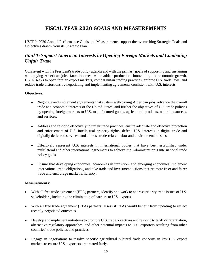# **FISCAL YEAR 2020 GOALS AND MEASUREMENTS**

USTR's 2020 Annual Performance Goals and Measurements support the overarching Strategic Goals and Objectives drawn from its Strategic Plan.

### <span id="page-12-0"></span>*Goal 1: Support American Interests by Opening Foreign Markets and Combating Unfair Trade*

Consistent with the President's trade policy agenda and with the primary goals of supporting and sustaining well-paying American jobs, farm incomes, value-added production, innovation, and economic growth, USTR seeks to open foreign export markets, combat unfair trading practices, enforce U.S. trade laws, and reduce trade distortions by negotiating and implementing agreements consistent with U.S. interests.

#### **Objectives:**

- Negotiate and implement agreements that sustain well-paying American jobs, advance the overall trade and economic interests of the United States, and further the objectives of U.S. trade policies by opening foreign markets to U.S. manufactured goods, agricultural products, natural resources, and services.
- Address and respond effectively to unfair trade practices, ensure adequate and effective protection and enforcement of U.S. intellectual property rights; defend U.S. interests in digital trade and digitally delivered services; and address trade-related labor and environmental issues.
- Effectively represent U.S. interests in international bodies that have been established under multilateral and other international agreements to achieve the Administration's international trade policy goals.
- Ensure that developing economies, economies in transition, and emerging economies implement international trade obligations, and take trade and investment actions that promote freer and fairer trade and encourage market efficiency.

- With all free trade agreement (FTA) partners, identify and work to address priority trade issues of U.S. stakeholders, including the elimination of barriers to U.S. exports.
- With all free trade agreement (FTA) partners, assess if FTAs would benefit from updating to reflect recently negotiated outcomes.
- Develop and implement initiatives to promote U.S. trade objectives and respond to tariff differentiation, alternative regulatory approaches, and other potential impacts to U.S. exporters resulting from other countries' trade policies and practices.
- Engage in negotiations to resolve specific agricultural bilateral trade concerns in key U.S. export markets to ensure U.S. exporters are treated fairly.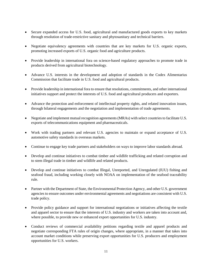- Secure expanded access for U.S. food, agricultural and manufactured goods exports to key markets through resolution of trade-restrictive sanitary and phytosanitary and technical barriers.
- Negotiate equivalency agreements with countries that are key markets for U.S. organic exports, promoting increased exports of U.S. organic food and agriculture products.
- Provide leadership in international fora on science-based regulatory approaches to promote trade in products derived from agricultural biotechnology.
- Advance U.S. interests in the development and adoption of standards in the Codex Alimentarius Commission that facilitate trade in U.S. food and agricultural products.
- Provide leadership in international fora to ensure that resolutions, commitments, and other international initiatives support and protect the interests of U.S. food and agricultural producers and exporters.
- Advance the protection and enforcement of intellectual property rights, and related innovation issues, through bilateral engagements and the negotiation and implementation of trade agreements.
- Negotiate and implement mutual recognition agreements (MRAs) with select countries to facilitate U.S. exports of telecommunications equipment and pharmaceuticals.
- Work with trading partners and relevant U.S. agencies to maintain or expand acceptance of U.S. automotive safety standards in overseas markets.
- Continue to engage key trade partners and stakeholders on ways to improve labor standards abroad.
- Develop and continue initiatives to combat timber and wildlife trafficking and related corruption and to stem illegal trade in timber and wildlife and related products.
- Develop and continue initiatives to combat Illegal, Unreported, and Unregulated (IUU) fishing and seafood fraud, including working closely with NOAA on implementation of the seafood traceability rule.
- Partner with the Department of State, the Environmental Protection Agency, and other U.S. government agencies to ensure outcomes under environmental agreements and negotiations are consistent with U.S. trade policy.
- Provide policy guidance and support for international negotiations or initiatives affecting the textile and apparel sector to ensure that the interests of U.S. industry and workers are taken into account and, where possible, to provide new or enhanced export opportunities for U.S. industry.
- Conduct reviews of commercial availability petitions regarding textile and apparel products and negotiate corresponding FTA rules of origin changes, where appropriate, in a manner that takes into account market conditions while preserving export opportunities for U.S. producers and employment opportunities for U.S. workers.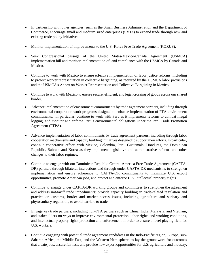- In partnership with other agencies, such as the Small Business Administration and the Department of Commerce, encourage small and medium sized enterprises (SMEs) to expand trade through new and existing trade policy initiatives.
- Monitor implementation of improvements to the U.S.-Korea Free Trade Agreement (KORUS).
- Seek Congressional passage of the United States-Mexico-Canada Agreement (USMCA) implementation bill and monitor implementation of, and compliance with the USMCA by Canada and Mexico.
- Continue to work with Mexico to ensure effective implementation of labor justice reforms, including to protect worker representation in collective bargaining, as required by the USMCA labor provisions and the USMCA's Annex on Worker Representation and Collective Bargaining in Mexico.
- Continue to work with Mexico to ensure secure, efficient, and legal crossing of goods across our shared border.
- Advance implementation of environment commitments by trade agreement partners, including through environmental cooperation work programs designed to enhance implementation of FTA environment commitments. In particular, continue to work with Peru as it implements reforms to combat illegal logging, and monitor and enforce Peru's environmental obligations under the Peru Trade Promotion Agreement (PTPA).
- Advance implementation of labor commitments by trade agreement partners, including through labor cooperation mechanisms and capacity building initiatives designed to support their efforts. In particular, continue cooperative efforts with Mexico, Colombia, Peru, Guatemala, Honduras, the Dominican Republic, Bahrain and Korea as they implement legislative and administrative reforms and other changes to their labor regimes.
- Continue to engage with our Dominican Republic-Central America Free Trade Agreement (CAFTA-DR) partners through bilateral interactions and through under CAFTA-DR mechanisms to strengthen implementation and ensure adherence to CAFTA-DR commitments to maximize U.S. export opportunities, promote American jobs, and protect and enforce U.S. intellectual property rights.
- Continue to engage under CAFTA-DR working groups and committees to strengthen the agreement and address not-tariff trade impediments; provide capacity building in trade-related regulation and practice on customs, border and market access issues, including agriculture and sanitary and phytosanitary regulation, to avoid barriers to trade.
- Engage key trade partners, including non-FTA partners such as China, India, Malaysia, and Vietnam, and stakeholders on ways to improve environmental protection, labor rights and working conditions, and intellectual property rights protection and enforcement in order to ensure a level playing field for U.S. workers.
- Continue engaging with potential trade agreement candidates in the Indo-Pacific region, Europe, sub-Saharan Africa, the Middle East, and the Western Hemisphere, to lay the groundwork for outcomes that create jobs, ensure fairness, and provide new export opportunities for U.S. agriculture and industry.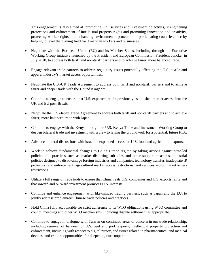This engagement is also aimed at promoting U.S. services and investment objectives, strengthening protections and enforcement of intellectual property rights and promoting innovation and creativity, protecting worker rights, and enhancing environmental protection in participating countries, thereby helping to level the playing field for American workers and businesses.

- Negotiate with the European Union (EU) and its Member States, including through the Executive Working Group initiative launched by the President and European Commission President Juncker in July 2018, to address both tariff and non-tariff barriers and to achieve fairer, more balanced trade.
- Engage relevant trade partners to address regulatory issues potentially affecting the U.S. textile and apparel industry's market access opportunities.
- Negotiate the U.S.-UK Trade Agreement to address both tariff and non-tariff barriers and to achieve fairer and deeper trade with the United Kingdom.
- Continue to engage to ensure that U.S. exporters retain previously established market access into the UK and EU post-Brexit.
- Negotiate the U.S.-Japan Trade Agreement to address both tariff and non-tariff barriers and to achieve fairer, more balanced trade with Japan.
- Continue to engage with the Kenya through the U.S.-Kenya Trade and Investment Working Group to deepen bilateral trade and investment with a view to laying the groundwork for a potential, future FTA.
- Advance bilateral discussions with Israel on expanded access for U.S. food and agricultural exports.
- Work to achieve fundamental changes to China's trade regime by taking actions against state-led policies and practices such as market-distorting subsidies and other support measures, industrial policies designed to disadvantage foreign industries and companies, technology transfer, inadequate IP protection and enforcement, agricultural market access restrictions, and services sector market access restrictions.
- Utilize a full range of trade tools to ensure that China treats U.S. companies and U.S. exports fairly and that inward and outward investment promotes U.S. interests.
- Continue and enhance engagement with like-minded trading partners, such as Japan and the EU, to jointly address problematic Chinese trade policies and practices.
- Hold China fully accountable for strict adherence to its WTO obligations using WTO committee and council meetings and other WTO mechanisms, including dispute settlement as appropriate.
- Continue to engage in dialogue with Taiwan on continued areas of concern in our trade relationship, including removal of barriers for U.S. beef and pork exports, intellectual property protection and enforcement, including with respect to digital piracy, and issues related to pharmaceutical and medical devices, and explore opportunities for deepening our cooperation.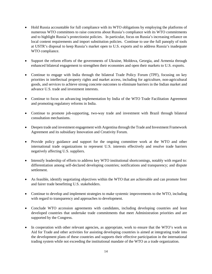- Hold Russia accountable for full compliance with its WTO obligations by employing the platforms of numerous WTO committees to raise concerns about Russia's compliance with its WTO commitments and to highlight Russia's protectionist policies. In particular, focus on Russia's increasing reliance on local content requirements and import substitution policies. Continue to use the full panoply of tools at USTR's disposal to keep Russia's market open to U.S. exports and to address Russia's inadequate WTO compliance.
- Support the reform efforts of the governments of Ukraine, Moldova, Georgia, and Armenia through enhanced bilateral engagement to strengthen their economies and open their markets to U.S. exports.
- Continue to engage with India through the bilateral Trade Policy Forum (TPF), focusing on key priorities in intellectual property rights and market access, including for agriculture, non-agricultural goods, and services to achieve strong concrete outcomes to eliminate barriers in the Indian market and advance U.S. trade and investment interests.
- Continue to focus on advancing implementation by India of the WTO Trade Facilitation Agreement and promoting regulatory reforms in India.
- Continue to promote job-supporting, two-way trade and investment with Brazil through bilateral consultation mechanisms.
- Deepen trade and investment engagement with Argentina through the Trade and Investment Framework Agreement and its subsidiary Innovation and Creativity Forum.
- Provide policy guidance and support for the ongoing committee work at the WTO and other international trade organizations to represent U.S. interests effectively and resolve trade barriers negatively affecting U.S. suppliers.
- Intensify leadership of efforts to address key WTO institutional shortcomings, notably with regard to: differentiation among self-declared developing countries; notifications and transparency; and dispute settlement.
- As feasible, identify negotiating objectives within the WTO that are achievable and can promote freer and fairer trade benefitting U.S. stakeholders.
- Continue to develop and implement strategies to make systemic improvements to the WTO, including with regard to transparency and approaches to development.
- Conclude WTO accession agreements with candidates, including developing countries and least developed countries that undertake trade commitments that meet Administration priorities and are supported by the Congress.
- In cooperation with other relevant agencies, as appropriate, work to ensure that the WTO's work on Aid for Trade and other activities for assisting developing countries is aimed at integrating trade into the development plans of these countries and supports their effective participation in the international trading system while not exceeding the institutional mandate of the WTO as a trade organization.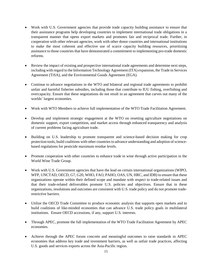- Work with U.S. Government agencies that provide trade capacity building assistance to ensure that their assistance programs help developing countries to implement international trade obligations in a transparent manner that opens export markets and promotes fair and reciprocal trade. Further, in cooperation with other relevant agencies, work with other donor countries and international institutions to make the most coherent and effective use of scarce capacity building resources, prioritizing assistance to those countries that have demonstrated a commitment to implementing pro-trade domestic reforms.
- Review the impact of existing and prospective international trade agreements and determine next steps, including with regard to the Information Technology Agreement (ITA) expansion, the Trade in Services Agreement (TiSA), and the Environmental Goods Agreement (EGA).
- Continue to advance negotiations in the WTO and bilateral and regional trade agreements to prohibit unfair and harmful fisheries subsidies, including those that contribute to IUU fishing, overfishing and overcapacity. Ensure that these negotiations do not result in an agreement that carves out many of the worlds' largest economies.
- Work with WTO Members to achieve full implementation of the WTO Trade Facilitation Agreement.
- Develop and implement strategic engagement at the WTO on resetting agriculture negotiations on domestic support, export competition, and market access through enhanced transparency and analysis of current problems facing agriculture trade.
- Building on U.S. leadership to promote transparent and science-based decision making for crop protection tools, build coalitions with other countries to advance understanding and adoption of sciencebased regulations for pesticide maximum residue levels.
- Promote cooperation with other countries to enhance trade in wine through active participation in the World Wine Trade Group.
- Work with U.S. Government agencies that have the lead on certain international organizations (WIPO, WFP, UNCTAD, OECD, G7, G20, WHO, FAO, PAHO, OAS, UN, HRC, and IDB) to ensure that these organizations operate within their defined scope and mandate with respect to trade-related issues and that their trade-related deliverables promote U.S. policies and objectives. Ensure that in these organizations, resolutions and outcomes are consistent with U.S. trade policy and do not promote traderestrictive barriers.
- Utilize the OECD Trade Committee to produce economic analysis that supports open markets and to build coalitions of like-minded economies that can advance U.S. trade policy goals in multilateral institutions. Ensure OECD accessions, if any, support U.S. interests.
- Through APEC, promote the full implementation of the WTO Trade Facilitation Agreement by APEC economies.
- Achieve through the APEC forum concrete and meaningful outcomes to raise standards in APEC economies that address key trade and investment barriers, as well as unfair trade practices, affecting U.S. goods and services exports across the Asia-Pacific region.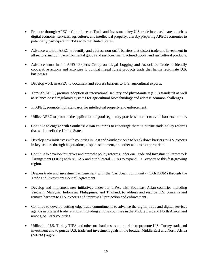- Promote through APEC's Committee on Trade and Investment key U.S. trade interests in areas such as digital economy, services, agriculture, and intellectual property, thereby preparing APEC economies to potentially participate in FTAs with the United States.
- Advance work in APEC to identify and address non-tariff barriers that distort trade and investment in all sectors, including environmental goods and services, manufactured goods, and agricultural products.
- Advance work in the APEC Experts Group on Illegal Logging and Associated Trade to identify cooperative actions and activities to combat illegal forest products trade that harms legitimate U.S. businesses.
- Develop work in APEC to document and address barriers to U.S. agricultural exports.
- Through APEC, promote adoption of international sanitary and phytosanitary (SPS) standards as well as science-based regulatory systems for agricultural biotechnology and address common challenges.
- In APEC, promote high standards for intellectual property and enforcement.
- Utilize APEC to promote the application of good regulatory practices in order to avoid barriers to trade.
- Continue to engage with Southeast Asian countries to encourage them to pursue trade policy reforms that will benefit the United States.
- Develop new initiatives with countries in East and Southeast Asia to break down barriers to U.S. exports in key sectors through negotiations, dispute settlement, and other actions as appropriate.
- Continue to develop initiatives and promote policy reforms under our Trade and Investment Framework Arrangement (TIFA) with ASEAN and our bilateral TIFAs to expand U.S. exports to this fast-growing region.
- Deepen trade and investment engagement with the Caribbean community (CARICOM) through the Trade and Investment Council Agreement.
- Develop and implement new initiatives under our TIFAs with Southeast Asian countries including Vietnam, Malaysia, Indonesia, Philippines, and Thailand, to address and resolve U.S. concerns and remove barriers to U.S. exports and improve IP protection and enforcement.
- Continue to develop cutting-edge trade commitments to advance the digital trade and digital services agenda in bilateral trade relations, including among countries in the Middle East and North Africa, and among ASEAN countries.
- Utilize the U.S.-Turkey TIFA and other mechanisms as appropriate to promote U.S.-Turkey trade and investment and to pursue U.S. trade and investment goals in the broader Middle East and North Africa (MENA) region.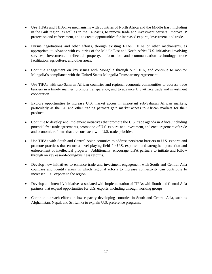- Use TIFAs and TIFA-like mechanisms with countries of North Africa and the Middle East, including in the Gulf region, as well as in the Caucasus, to remove trade and investment barriers, improve IP protection and enforcement, and to create opportunities for increased exports, investment, and trade.
- Pursue negotiations and other efforts, through existing FTAs, TIFAs or other mechanisms, as appropriate, to advance with countries of the Middle East and North Africa U.S. initiatives involving services, investment, intellectual property, information and communication technology, trade facilitation, agriculture, and other areas.
- Continue engagement on key issues with Mongolia through our TIFA, and continue to monitor Mongolia's compliance with the United States-Mongolia Transparency Agreement.
- Use TIFAs with sub-Saharan African countries and regional economic communities to address trade barriers in a timely manner, promote transparency, and to advance U.S.-Africa trade and investment cooperation.
- Explore opportunities to increase U.S. market access in important sub-Saharan African markets, particularly as the EU and other trading partners gain market access to African markets for their products.
- Continue to develop and implement initiatives that promote the U.S. trade agenda in Africa, including potential free trade agreements, promotion of U.S. exports and investment, and encouragement of trade and economic reforms that are consistent with U.S. trade priorities.
- Use TIFAs with South and Central Asian countries to address persistent barriers to U.S. exports and promote practices that ensure a level playing field for U.S. exporters and strengthen protection and enforcement of intellectual property. Additionally, encourage TIFA partners to initiate and follow through on key ease-of-doing-business reforms.
- Develop new initiatives to enhance trade and investment engagement with South and Central Asia countries and identify areas in which regional efforts to increase connectivity can contribute to increased U.S. exports to the region.
- Develop and intensify initiatives associated with implementation of TIFAs with South and Central Asia partners that expand opportunities for U.S. exports, including through working groups.
- <span id="page-19-0"></span>• Continue outreach efforts in low capacity developing countries in South and Central Asia, such as Afghanistan, Nepal, and Sri Lanka to explain U.S. preference programs.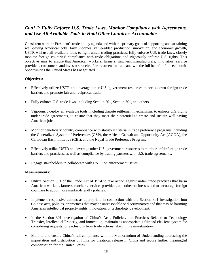### *Goal 2: Fully Enforce U.S. Trade Laws, Monitor Compliance with Agreements, and Use All Available Tools to Hold Other Countries Accountable*

Consistent with the President's trade policy agenda and with the primary goals of supporting and sustaining well-paying American jobs, farm incomes, value-added production, innovation, and economic growth, USTR will use all available tools to fight unfair trading practices, fully enforce U.S. trade laws, closely monitor foreign countries' compliance with trade obligations and vigorously enforce U.S. rights. This objective aims to ensure that American workers, farmers, ranchers, manufacturers, innovators, service providers, consumers, and investors receive fair treatment in trade and win the full benefit of the economic opportunities the United States has negotiated.

### **Objectives:**

- Effectively utilize USTR and leverage other U.S. government resources to break down foreign trade barriers and promote fair and reciprocal trade.
- Fully enforce U.S. trade laws, including Section 201, Section 301, and others.
- Vigorously deploy all available tools, including dispute settlement mechanisms, to enforce U.S. rights under trade agreements, to ensure that they meet their potential to create and sustain well-paying American jobs.
- Monitor beneficiary country compliance with statutory criteria in trade preference programs including the Generalized System of Preferences (GSP), the African Growth and Opportunity Act (AGOA), the Caribbean Basin Initiative (CBI), and the Nepal Trade Preference Program.
- Effectively utilize USTR and leverage other U.S. government resources to monitor unfair foreign trade barriers and practices, as well as compliance by trading partners with U.S. trade agreements.
- Engage stakeholders to collaborate with USTR on enforcement issues.

- Utilize Section 301 of the Trade Act of 1974 to take action against unfair trade practices that harm American workers, farmers, ranchers, services providers, and other businesses and to encourage foreign countries to adopt more market-friendly policies.
- Implement responsive actions as appropriate in connection with the Section 301 investigation into Chinese acts, policies, or practices that may be unreasonable or discriminatory and that may be harming American intellectual property rights, innovation, or technology development.
- In the Section 301 investigation of China's Acts, Policies, and Practices Related to Technology Transfer, Intellectual Property, and Innovation, maintain as appropriate a fair and efficient system for considering requests for exclusions from trade actions taken in the investigation.
- Monitor and ensure China's full compliance with the Memorandum of Understanding addressing the importation and distribution of films for theatrical release in China and secure further meaningful compensation for the United States.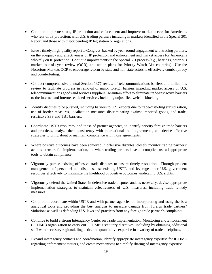- Continue to pursue strong IP protection and enforcement and improve market access for Americans who rely on IP protection, with U.S. trading partners including in markets identified in the Special 301 Report and those with major pending IP legislation or regulations.
- Issue a timely, high-quality report to Congress, backed by year-round engagement with trading partners, on the adequacy and effectiveness of IP protection and enforcement and market access for Americans who rely on IP protection. Continue improvements to the Special 301 process (*e.g*., hearings, notorious markets out-of-cycle review (OCR), and action plans for Priority Watch List countries). Use the Notorious Markets OCR to encourage reform by state and non-state actors to effectively combat piracy and counterfeiting.
- Conduct comprehensive annual Section 1377 review of telecommunications barriers and utilize this review to facilitate progress in removal of major foreign barriers impeding market access of U.S. telecommunications goods and services suppliers. Maintain effort to eliminate trade-restrictive barriers to the Internet and Internet-enabled services, including unjustified website blocking.
- Identify disputes to be pursued, including barriers to U.S. exports due to trade-distorting subsidization, use of border measures, localization measures discriminating against imported goods, and traderestrictive SPS and TBT barriers.
- Coordinate USTR resources, and those of partner agencies, to identify priority foreign trade barriers and practices, analyze their consistency with international trade agreements, and devise effective strategies to bring about or maintain compliance with those agreements.
- Where positive outcomes have been achieved in offensive disputes, closely monitor trading partners' actions to ensure full implementation, and where trading partners have not complied, use all appropriate tools to obtain compliance.
- Vigorously pursue existing offensive trade disputes to ensure timely resolution. Through prudent management of personnel and disputes, use existing USTR and leverage other U.S. government resources effectively to maximize the likelihood of positive outcomes vindicating U.S. rights.
- Vigorously defend the United States in defensive trade disputes and, as necessary, devise appropriate implementation strategies to maintain effectiveness of U.S. measures, including trade remedy measures.
- Continue to coordinate within USTR and with partner agencies on incorporating and using the best analytical tools and providing the best analysis to measure damage from foreign trade partners' violations as well as defending U.S. laws and practices from any foreign trade partner's complaints.
- Continue to build a strong Interagency Center on Trade Implementation, Monitoring and Enforcement (ICTIME) organization to carry out ICTIME's statutory directives, including by obtaining additional staff with necessary regional, linguistic, and quantitative expertise in a variety of trade disciplines.
- Expand interagency contacts and coordination, identify appropriate interagency expertise for ICTIME regarding enforcement matters, and create mechanisms to simplify sharing of interagency expertise.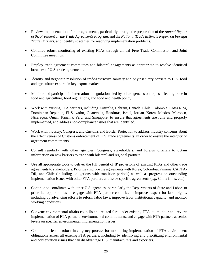- Review implementation of trade agreements, particularly through the preparation of the *Annual Report of the President on the Trade Agreements Program*, and the *National Trade Estimate Report on Foreign Trade Barriers*, and identify strategies for resolving implementation problems.
- Continue robust monitoring of existing FTAs through annual Free Trade Commission and Joint Committee meetings.
- Employ trade agreement committees and bilateral engagements as appropriate to resolve identified breaches of U.S. trade agreements.
- Identify and negotiate resolution of trade-restrictive sanitary and phytosanitary barriers to U.S. food and agriculture exports in key export markets.
- Monitor and participate in international negotiations led by other agencies on topics affecting trade in food and agriculture, food regulations, and food and health policy.
- Work with existing FTA partners, including Australia, Bahrain, Canada, Chile, Colombia, Costa Rica, Dominican Republic, El Salvador, Guatemala, Honduras, Israel, Jordan, Korea, Mexico, Morocco, Nicaragua, Oman, Panama, Peru, and Singapore, to ensure that agreements are fully and properly implemented, and address non-compliance issues that are identified.
- Work with industry, Congress, and Customs and Border Protection to address industry concerns about the effectiveness of Customs enforcement of U.S. trade agreements, in order to ensure the integrity of agreement commitments.
- Consult regularly with other agencies, Congress, stakeholders, and foreign officials to obtain information on new barriers to trade with bilateral and regional partners.
- Use all appropriate tools to deliver the full benefit of IP provisions of existing FTAs and other trade agreements to stakeholders. Priorities include the agreements with Korea, Colombia, Panama, CAFTA-DR, and Chile (including obligations with transition periods) as well as progress on outstanding implementation issues with other FTA partners and issue-specific agreements (*e.g.* China films, etc.).
- Continue to coordinate with other U.S. agencies, particularly the Departments of State and Labor, to prioritize opportunities to engage with FTA partner countries to improve respect for labor rights, including by advancing efforts to reform labor laws, improve labor institutional capacity, and monitor working conditions.
- Convene environmental affairs councils and related fora under existing FTAs to monitor and review implementation of FTA partners' environmental commitments, and engage with FTA partners at senior levels on specific environmental implementation issues.
- Continue to lead a robust interagency process for monitoring implementation of FTA environment obligations across all existing FTA partners, including by identifying and prioritizing environmental and conservation issues that can disadvantage U.S. manufacturers and exporters.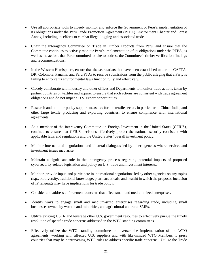- Use all appropriate tools to closely monitor and enforce the Government of Peru's implementation of its obligations under the Peru Trade Promotion Agreement (PTPA) Environment Chapter and Forest Annex, including its efforts to combat illegal logging and associated trade.
- Chair the Interagency Committee on Trade in Timber Products from Peru, and ensure that the Committee continues to actively monitor Peru's implementation of its obligations under the PTPA, as well as the actions that Peru committed to take to address the Committee's timber verification findings and recommendations.
- In the Western Hemisphere, ensure that the secretariats that have been established under the CAFTA-DR, Colombia, Panama, and Peru FTAs to receive submissions from the public alleging that a Party is failing to enforce its environmental laws function fully and effectively.
- Closely collaborate with industry and other offices and Departments to monitor trade actions taken by partner countries on textiles and apparel to ensure that such actions are consistent with trade agreement obligations and do not impede U.S. export opportunities.
- Research and monitor policy support measures for the textile sector, in particular in China, India, and other large textile producing and exporting countries, to ensure compliance with international agreements.
- As a member of the interagency Committee on Foreign Investment in the United States (CFIUS), continue to ensure that CFIUS decisions effectively protect the national security consistent with applicable laws and regulations and the United States' overall investment policy.
- Monitor international negotiations and bilateral dialogues led by other agencies where services and investment issues may arise.
- Maintain a significant role in the interagency process regarding potential impacts of proposed cybersecurity-related legislation and policy on U.S. trade and investment interests.
- Monitor, provide input, and participate in international negotiations led by other agencies on any topics *(e.g.*, biodiversity, traditional knowledge, pharmaceuticals, and health) in which the proposed inclusion of IP language may have implications for trade policy.
- Consider and address enforcement concerns that affect small and medium-sized enterprises.
- Identify ways to engage small and medium-sized enterprises regarding trade, including small businesses owned by women and minorities, and agricultural and rural SMEs.
- Utilize existing USTR and leverage other U.S. government resources to effectively pursue the timely resolution of specific trade concerns addressed in the WTO standing committees.
- Effectively utilize the WTO standing committees to oversee the implementation of the WTO agreements, working with affected U.S. suppliers and with like-minded WTO Members to press countries that may be contravening WTO rules to address specific trade concerns. Utilize the Trade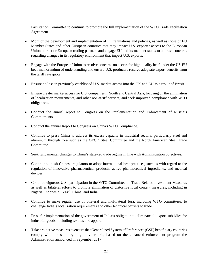Facilitation Committee to continue to promote the full implementation of the WTO Trade Facilitation Agreement.

- Monitor the development and implementation of EU regulations and policies, as well as those of EU Member States and other European countries that may impact U.S. exporter access to the European Union market or European trading partners and engage EU and its member states to address concerns regarding changes in its regulatory environment that impact U.S. exports.
- Engage with the European Union to resolve concerns on access for high quality beef under the US-EU beef memorandum of understanding and ensure U.S. producers receive adequate export benefits from the tariff rate quota.
- Ensure no loss in previously established U.S. market access into the UK and EU as a result of Brexit.
- Ensure greater market access for U.S. companies in South and Central Asia, focusing on the elimination of localization requirements, and other non-tariff barriers, and seek improved compliance with WTO obligations.
- Conduct the annual report to Congress on the Implementation and Enforcement of Russia's Commitments.
- Conduct the annual Report to Congress on China's WTO Compliance.
- Continue to press China to address its excess capacity in industrial sectors, particularly steel and aluminum through fora such as the OECD Steel Committee and the North American Steel Trade Committee.
- Seek fundamental changes to China's state-led trade regime in line with Administration objectives.
- Continue to push Chinese regulators to adopt international best practices, such as with regard to the regulation of innovative pharmaceutical products, active pharmaceutical ingredients, and medical devices.
- Continue vigorous U.S. participation in the WTO Committee on Trade-Related Investment Measures as well as bilateral efforts to promote elimination of distortive local content measures, including in Nigeria, Indonesia, Brazil, China, and India.
- Continue to make regular use of bilateral and multilateral fora, including WTO committees, to challenge India's localization requirements and other technical barriers to trade.
- Press for implementation of the government of India's obligation to eliminate all export subsidies for industrial goods, including textiles and apparel.
- Take pro-active measures to ensure that Generalized System of Preferences (GSP) beneficiary countries comply with the statutory eligibility criteria, based on the enhanced enforcement program the Administration announced in September 2017.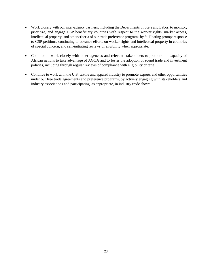- Work closely with our inter-agency partners, including the Departments of State and Labor, to monitor, prioritize, and engage GSP beneficiary countries with respect to the worker rights, market access, intellectual property, and other criteria of our trade preference programs by facilitating prompt response to GSP petitions, continuing to advance efforts on worker rights and intellectual property in countries of special concern, and self-initiating reviews of eligibility when appropriate.
- Continue to work closely with other agencies and relevant stakeholders to promote the capacity of African nations to take advantage of AGOA and to foster the adoption of sound trade and investment policies, including through regular reviews of compliance with eligibility criteria.
- <span id="page-25-0"></span>• Continue to work with the U.S. textile and apparel industry to promote exports and other opportunities under our free trade agreements and preference programs, by actively engaging with stakeholders and industry associations and participating, as appropriate, in industry trade shows.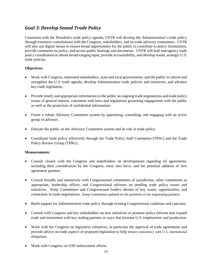### *Goal 3: Develop Sound Trade Policy*

Consistent with the President's trade policy agenda, USTR will develop the Administration's trade policy through extensive consultations with the Congress, stakeholders, and its trade advisory committees. USTR will also use digital means to ensure broad opportunities for the public to contribute to policy formulation, provide comments on policy, and access public hearings and documents. USTR will lead interagency trade policy coordination to obtain broad-ranging input, provide accountability, and develop sound, strategic U.S. trade policies.

### **Objectives:**

- Work with Congress, interested stakeholders, state and local governments, and the public to inform and strengthen the U.S. trade agenda, develop Administration trade policies and initiatives, and advance key trade legislation.
- Provide timely and appropriate information to the public on ongoing trade negotiations and trade policy issues of general interest, consistent with laws and regulations governing engagement with the public as well as the protection of confidential information.
- Foster a robust Advisory Committee system by appointing, consulting, and engaging with an active group of advisors.
- Educate the public on the Advisory Committee system and its role in trade policy.
- Coordinate trade policy effectively through the Trade Policy Staff Committee (TPSC) and the Trade Policy Review Group (TPRG).

- Consult closely with the Congress and stakeholders on developments regarding all agreements, including their consideration by the Congress, entry into force, and the potential addition of new agreement partners.
- Consult broadly and intensively with Congressional committees of jurisdiction, other committees as appropriate, leadership offices, and Congressional advisors on pending trade policy issues and initiatives. Keep Committees and Congressional leaders abreast of key issues, opportunities, and constraints in trade negotiations. Keep Committees updated on the positions of our negotiating partners.
- Build support for Administration trade policy through existing Congressional coalitions and caucuses.
- Consult with Congress and key stakeholders on new initiatives to promote policy reforms that expand trade and investment with key trading partners in ways that increase U.S. employment and production.
- Work with the Congress on legislative initiatives, in particular the approval of trade agreements and provide advice on trade aspects of proposed legislation to help ensure consistency with U.S. international obligations.
- Work with Congress on GSP enforcement efforts.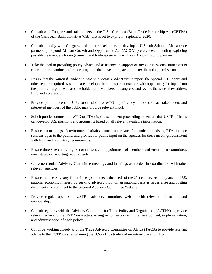- Consult with Congress and stakeholders on the U.S. –Caribbean Basin Trade Partnership Act (CBTPA) of the Caribbean Basin Initiative (CBI) that is set to expire in September 2020.
- Consult broadly with Congress and other stakeholders to develop a U.S.-sub-Saharan Africa trade partnership beyond African Growth and Opportunity Act (AGOA) preferences, including exploring possible new models for engagement and trade agreements with key African trading partners.
- Take the lead in providing policy advice and assistance in support of any Congressional initiatives to reform or re-examine preference programs that have an impact on the textile and apparel sector.
- Ensure that the *National Trade Estimate on Foreign Trade Barriers* report, the Special 301 Report, and other reports required by statute are developed in a transparent manner, with opportunity for input from the public at large as well as stakeholders and Members of Congress, and review the issues they address fully and accurately.
- Provide public access to U.S. submissions to WTO adjudicatory bodies so that stakeholders and interested members of the public may provide relevant input.
- Solicit public comment on WTO or FTA dispute settlement proceedings to ensure that USTR officials can develop U.S. positions and arguments based on all relevant available information.
- Ensure that meetings of environmental affairs councils and related fora under our existing FTAs include sessions open to the public, and provide for public input on the agendas for these meetings, consistent with legal and regulatory requirements.
- Ensure timely re-chartering of committees and appointment of members and ensure that committees meet statutory reporting requirements.
- Convene regular Advisory Committee meetings and briefings as needed in coordination with other relevant agencies.
- Ensure that the Advisory Committee system meets the needs of the 21st century economy and the U.S. national economic interest, by seeking advisory input on an ongoing basis as issues arise and posting documents for comment to the Secured Advisory Committee Website.
- Provide regular updates to USTR's advisory committee website with relevant information and membership.
- Consult regularly with the Advisory Committee for Trade Policy and Negotiations (ACTPN) to provide relevant advice to the USTR on matters arising in connection with the development, implementation, and administration of trade policy.
- Continue working closely with the Trade Advisory Committee on Africa (TACA) to provide relevant advice to the USTR on strengthening the U.S.-Africa trade and investment relationship.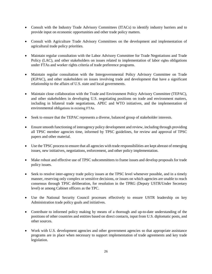- Consult with the Industry Trade Advisory Committees (ITACs) to identify industry barriers and to provide input on economic opportunities and other trade policy matters.
- Consult with Agriculture Trade Advisory Committees on the development and implementation of agricultural trade policy priorities.
- Maintain regular consultation with the Labor Advisory Committee for Trade Negotiations and Trade Policy (LAC), and other stakeholders on issues related to implementation of labor rights obligations under FTAs and worker rights criteria of trade preference programs.
- Maintain regular consultation with the Intergovernmental Policy Advisory Committee on Trade (IGPAC), and other stakeholders on issues involving trade and development that have a significant relationship to the affairs of U.S. state and local governments.
- Maintain close collaboration with the Trade and Environment Policy Advisory Committee (TEPAC), and other stakeholders in developing U.S. negotiating positions on trade and environment matters, including in bilateral trade negotiations, APEC and WTO initiatives, and the implementation of environmental obligations in existing FTAs.
- Seek to ensure that the TEPAC represents a diverse, balanced group of stakeholder interests.
- Ensure smooth functioning of interagency policy development and review, including through providing all TPSC member agencies time, informed by TPSC guidelines, for review and approval of TPSC papers and other material.
- Use the TPSC process to ensure that all agencies with trade responsibilities are kept abreast of emerging issues, new initiatives, negotiations, enforcement, and other policy implementation.
- Make robust and effective use of TPSC subcommittees to frame issues and develop proposals for trade policy issues.
- Seek to resolve inter-agency trade policy issues at the TPSC level whenever possible, and in a timely manner, reserving only complex or sensitive decisions, or issues on which agencies are unable to reach consensus through TPSC deliberation, for resolution in the TPRG (Deputy USTR/Under Secretary level) or among Cabinet officers as the TPC.
- Use the National Security Council processes effectively to ensure USTR leadership on key Administration trade policy goals and initiatives.
- Contribute to informed policy making by means of a thorough and up-to-date understanding of the positions of other countries and entities based on direct contacts, input from U.S. diplomatic posts, and other sources.
- Work with U.S. development agencies and other government agencies so that appropriate assistance programs are in place when necessary to support implementation of trade agreements and key trade legislation.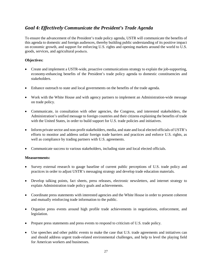### <span id="page-29-0"></span>*Goal 4: Effectively Communicate the President's Trade Agenda*

To ensure the advancement of the President's trade policy agenda, USTR will communicate the benefits of this agenda to domestic and foreign audiences, thereby building public understanding of its positive impact on economic growth, and support for enforcing U.S. rights and opening markets around the world to U.S. goods, services, and agricultural products.

#### **Objectives:**

- Create and implement a USTR-wide, proactive communications strategy to explain the job-supporting, economy-enhancing benefits of the President's trade policy agenda to domestic constituencies and stakeholders.
- Enhance outreach to state and local governments on the benefits of the trade agenda.
- Work with the White House and with agency partners to implement an Administration-wide message on trade policy.
- Communicate, in consultation with other agencies, the Congress, and interested stakeholders, the Administration's unified message to foreign countries and their citizens explaining the benefits of trade with the United States, in order to build support for U.S. trade policies and initiatives.
- Inform private sector and non-profit stakeholders, media, and state and local elected officials of USTR's efforts to monitor and address unfair foreign trade barriers and practices and enforce U.S. rights, as well as compliance by trading partners with U.S. agreements.
- Communicate success to various stakeholders, including state and local elected officials.

- Survey external research to gauge baseline of current public perceptions of U.S. trade policy and practices in order to adjust USTR's messaging strategy and develop trade education materials.
- Develop talking points, fact sheets, press releases, electronic newsletters, and internet strategy to explain Administration trade policy goals and achievements.
- Coordinate press statements with interested agencies and the White House in order to present coherent and mutually reinforcing trade information to the public.
- Organize press events around high profile trade achievements in negotiations, enforcement, and legislation.
- Prepare press statements and press events to respond to criticism of U.S. trade policy.
- Use speeches and other public events to make the case that U.S. trade agreements and initiatives can and should address urgent trade-related environmental challenges, and help to level the playing field for American workers and businesses.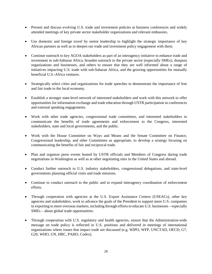- Present and discuss evolving U.S. trade and investment policies at business conferences and widely attended meetings of key private sector stakeholder organizations and relevant embassies.
- Use domestic and foreign travel by senior leadership to highlight the strategic importance of key African partners as well as to deepen our trade and investment policy engagement with them.
- Continue outreach to key AGOA stakeholders as part of an interagency initiative to enhance trade and investment in sub-Saharan Africa, broaden outreach to the private sector (especially SMEs), diaspora organizations and businesses, and others to ensure that they are well informed about a range of initiatives impacting U.S. trade with sub-Saharan Africa, and the growing opportunities for mutually beneficial U.S.-Africa ventures.
- Strategically select cities and organizations for trade speeches to demonstrate the importance of free and fair trade to the local economy.
- Establish a stronger state-level network of interested stakeholders and work with this network to offer opportunities for information exchange and trade education through USTR participation in conferences and external speaking engagements.
- Work with other trade agencies, congressional trade committees, and interested stakeholders to communicate the benefits of trade agreements and enforcement to the Congress, interested stakeholders, state and local governments, and the public.
- Work with the House Committee on Ways and Means and the Senate Committee on Finance, Congressional leadership, and other Committees as appropriate, to develop a strategy focusing on communicating the benefits of fair and reciprocal trade.
- Plan and organize press events hosted by USTR officials and Members of Congress during trade negotiations in Washington as well as at other negotiating sites in the United States and abroad.
- Conduct further outreach to U.S. industry stakeholders, congressional delegations, and state-level governments planning official visits and trade missions.
- Continue to conduct outreach to the public and to expand interagency coordination of enforcement efforts.
- Through cooperation with agencies at the U.S. Export Assistance Centers (USEACs), other key agencies and stakeholders, work to advance the goals of the President to support more U.S. companies in exporting to more overseas markets, including through efforts to educate U.S. businesses – especially SMEs – about global trade opportunities.
- Through cooperation with U.S. regulatory and health agencies, ensure that the Administration-wide message on trade policy is reflected in U.S. positions and delivered in meetings of international organizations where issues that impact trade are discussed (e.g. WIPO, WFP, UNCTAD, OECD, G7, G20, WHO, UN, HRC, PAHO, Codex).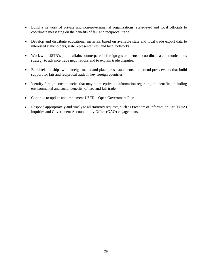- Build a network of private and non-governmental organizations, state-level and local officials to coordinate messaging on the benefits of fair and reciprocal trade.
- Develop and distribute educational materials based on available state and local trade export data to interested stakeholders, state representatives, and local networks.
- Work with USTR's public affairs counterparts in foreign governments to coordinate a communications strategy to advance trade negotiations and to explain trade disputes.
- Build relationships with foreign media and place press statements and attend press events that build support for fair and reciprocal trade in key foreign countries.
- Identify foreign constituencies that may be receptive to information regarding the benefits, including environmental and social benefits, of free and fair trade.
- Continue to update and implement USTR's Open Government Plan.
- <span id="page-31-0"></span>• Respond appropriately and timely to all statutory requests, such as Freedom of Information Act (FOIA) inquiries and Government Accountability Office (GAO) engagements.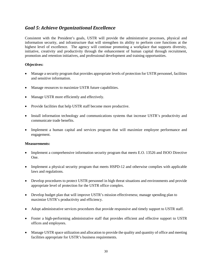### *Goal 5: Achieve Organizational Excellence*

Consistent with the President's goals, USTR will provide the administrative processes, physical and information security, and infrastructure that will strengthen its ability to perform core functions at the highest level of excellence. The agency will continue promoting a workplace that supports diversity, initiative, creativity and productivity through the enhancement of human capital through recruitment, promotion and retention initiatives, and professional development and training opportunities.

#### **Objectives:**

- Manage a security program that provides appropriate levels of protection for USTR personnel, facilities and sensitive information.
- Manage resources to maximize USTR future capabilities.
- Manage USTR more efficiently and effectively.
- Provide facilities that help USTR staff become more productive.
- Install information technology and communications systems that increase USTR's productivity and communicate trade benefits.
- Implement a human capital and services program that will maximize employee performance and engagement.

- Implement a comprehensive information security program that meets E.O. 13526 and ISOO Directive One.
- Implement a physical security program that meets HSPD-12 and otherwise complies with applicable laws and regulations.
- Develop procedures to protect USTR personnel in high threat situations and environments and provide appropriate level of protection for the USTR office complex.
- Develop budget plan that will improve USTR's mission effectiveness; manage spending plan to maximize USTR's productivity and efficiency.
- Adopt administrative services procedures that provide responsive and timely support to USTR staff.
- Foster a high-performing administrative staff that provides efficient and effective support to USTR offices and employees.
- Manage USTR space utilization and allocation to provide the quality and quantity of office and meeting facilities appropriate for USTR's business requirements.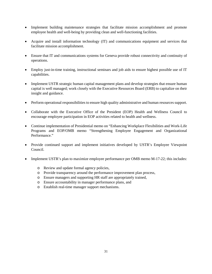- Implement building maintenance strategies that facilitate mission accomplishment and promote employee health and well-being by providing clean and well-functioning facilities.
- Acquire and install information technology (IT) and communications equipment and services that facilitate mission accomplishment.
- Ensure that IT and communications systems for Geneva provide robust connectivity and continuity of operations.
- Employ just-in-time training, instructional seminars and job aids to ensure highest possible use of IT capabilities.
- Implement USTR strategic human capital management plans and develop strategies that ensure human capital is well managed; work closely with the Executive Resources Board (ERB) to capitalize on their insight and guidance.
- Perform operational responsibilities to ensure high quality administrative and human resources support.
- Collaborate with the Executive Office of the President (EOP) Health and Wellness Council to encourage employee participation in EOP activities related to health and wellness.
- Continue implementation of Presidential memo on "Enhancing Workplace Flexibilities and Work-Life Programs and EOP/OMB memo "Strengthening Employee Engagement and Organizational Performance."
- Provide continued support and implement initiatives developed by USTR's Employee Viewpoint Council.
- <span id="page-33-0"></span>• Implement USTR's plan to maximize employee performance per OMB memo M-17-22; this includes:
	- o Review and update formal agency policies,
	- o Provide transparency around the performance improvement plan process,
	- o Ensure managers and supporting HR staff are appropriately trained,
	- o Ensure accountability in manager performance plans, and
	- o Establish real-time manager support mechanisms.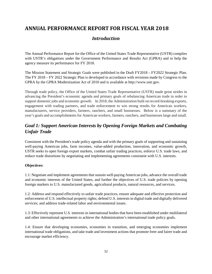# <span id="page-34-0"></span>**ANNUAL PERFORMANCE REPORT FOR FISCAL YEAR 2018**

### *Introduction*

The Annual Performance Report for the Office of the United States Trade Representative (USTR) complies with USTR's obligations under the Government Performance and Results Act (GPRA) and to help the agency measure its performance for FY 2018.

The Mission Statement and Strategic Goals were published in the Draft FY2018 – FY2022 Strategic Plan. The FY 2018 – FY 2022 Strategic Plan is developed in accordance with revisions made by Congress to the GPRA by the GPRA Modernization Act of 2010 and is available at [http://www.ustr.gov.](http://www.ustr.gov/)

Through trade policy, the Office of the United States Trade Representative (USTR) made great strides in advancing the President's economic agenda and primary goals of rebalancing American trade in order to support domestic jobs and economic growth. In 2018, the Administration built on record-breaking exports, engagement with trading partners, and trade enforcement to win strong results for American workers, manufacturers, service providers, farmers, ranchers, and small businesses. Below is a summary of the year's goals and accomplishments for American workers, farmers, ranchers, and businesses large and small.

### <span id="page-34-1"></span>*Goal 1: Support American Interests by Opening Foreign Markets and Combating Unfair Trade*

Consistent with the President's trade policy agenda and with the primary goals of supporting and sustaining well-paying American jobs, farm incomes, value-added production, innovation, and economic growth, USTR seeks to open foreign export markets, combat unfair trading practices, enforce U.S. trade laws, and reduce trade distortions by negotiating and implementing agreements consistent with U.S. interests.

### **Objectives:**

1.1: Negotiate and implement agreements that sustain well-paying American jobs, advance the overall trade and economic interests of the United States, and further the objectives of U.S. trade policies by opening foreign markets to U.S. manufactured goods, agricultural products, natural resources, and services.

1.2: Address and respond effectively to unfair trade practices, ensure adequate and effective protection and enforcement of U.S. intellectual property rights; defend U.S. interests in digital trade and digitally delivered services; and address trade-related labor and environmental issues.

1.3: Effectively represent U.S. interests in international bodies that have been established under multilateral and other international agreements to achieve the Administration's international trade policy goals.

1.4: Ensure that developing economies, economies in transition, and emerging economies implement international trade obligations, and take trade and investment actions that promote freer and fairer trade and encourage market efficiency.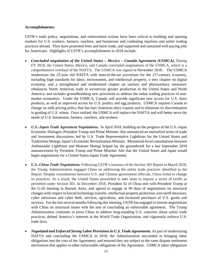#### **Accomplishments:**

USTR's trade policy, negotiations, and enforcement actions have been critical to building and opening markets for U.S. workers, farmers, ranchers, and businesses and combating injurious and unfair trading practices abroad. They have promoted freer and fairer trade, and supported and sustained well-paying jobs for Americans. Highlights of USTR's accomplishments in 2018 include:

- *[Concluded negotiation of the United States –](https://ustr.gov/about-us/policy-offices/press-office/press-releases/2015/october/trans-pacific-partnership-ministers) Mexico – Canada Agreement (USMCA).* During FY 2018, the United States, Mexico, and Canada concluded negotiations of the USMCA, which is a comprehensive overhaul of the NAFTA. The USMCA was signed in November 2018. The USMCA modernizes the 25-year old NAFTA with state-of-the-art provisions for the 21<sup>st</sup>-century economy, including high standards for labor, environment, and intellectual property, a new chapter on digital economy, and a strengthened and modernized chapter on sanitary and phytosanitary measures; rebalances North American trade to incentivize greater production in the United States and North America; and includes groundbreaking new provisions to address the unfair trading practices of nonmarket economies. Under the USMCA, Canada will provide significant new access for U.S. dairy products, as well as improved access for U.S. poultry and egg products. USMCA requires Canada to change its milk pricing policy that has hurt American dairy exports and to eliminate its discrimination in grading of U.S. wheat. Once ratified, the USMCA will replace the NAFTA and will better serve the needs of U.S. businesses, farmers, ranchers, and workers.
- *U.S.-Japan Trade Agreement Negotiations.* In April 2018, building on the progress of the U.S.-Japan Economic Dialogue, President Trump and Prime Minister Abe announced an intensified series of trade and investment discussions, led by U.S. Trade Representative Lighthizer for the United States and Toshimitsu Motegi, Japan's Economic Revitalization Minister. Ministerial-level consultations between Ambassador Lighthizer and Minister Motegi helped lay the groundwork for a late September 2018 announcement by President Trump and Prime Minister Abe that the United States and Japan would begin negotiations for a United States-Japan Trade Agreement.
- *U.S.-China Trade Negotiations.* Following USTR's issuance of the Section 301 Report in March 2018, the Trump Administration engaged China on addressing the unfair trade practices identified in the Report. Despite consultations between U.S. and Chinese government officials, China failed to change its practices. As a result, the United States proceeded to take steps to impose a series of tariffs as permitted under Section 301. In December 2018, President Xi of China met with President Trump at the G-20 meeting in Buenos Aires, and agreed to engage in 90 days of negotiations on structural changes with respect to forced technology transfer, intellectual property protection, non-tariff measures, cyber intrusions and cyber theft, services, agriculture, and increased purchases of U.S. goods and services. For the last several months following this meeting, USTR has engaged in intense negotiations with China on structural issues with the aim of concluding an enforceable agreement. The Trump Administration continues to press China to address long-standing U.S. concerns about unfair trade practices, defend America's interests at the World Trade Organization, and vigorously enforce U.S. trade laws.
- *Negotiated and Enforced Strong Labor Provisions in U.S. Trade Agreements.* As part of modernizing NAFTA and concluding the USMCA in 2018, the Administration succeeded in bringing labor obligations into the core of the Agreement, and ensured they are subject to the same dispute settlement mechanism that applies to other enforceable obligations of the Agreement. USMCA labor obligations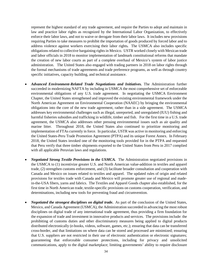represent the highest standard of any trade agreement, and require the Parties to adopt and maintain in law and practice labor rights as recognized by the International Labor Organization, to effectively enforce their labor laws, and not to waive or derogate from their labor laws. It includes new provisions requiring Parties to take measures to prohibit the importation of goods produced by forced labor and to address violence against workers exercising their labor rights*.* The USMCA also includes specific obligations related to collective bargaining rights in Mexico. USTR worked closely with Mexican trade and labor officials in 2018 to monitor implementation of landmark constitutional reforms that mandate the creation of new labor courts as part of a complete overhaul of Mexico's system of labor justice administration. The United States also engaged with trading partners in 2018 on labor rights through the formal mechanisms of trade agreements and trade preference programs, as well as through country specific initiatives, capacity building, and technical assistance.

- *Advanced Environment-Related Trade Negotiations and Initiatives.* The Administration further succeeded in modernizing NAFTA by including in USMCA the most comprehensive set of enforceable environmental obligations of any U.S. trade agreement. In negotiating the USMCA Environment Chapter, the United States strengthened and improved the existing environmental framework under the North American Agreement on Environmental Cooperation (NAAEC) by bringing the environmental obligations into the core of the new trade agreement, rather than in a side agreement. The USMCA addresses key environmental challenges such as illegal, unreported, and unregulated (IUU) fishing and harmful fisheries subsidies and trafficking in wildlife, timber and fish. For the first time in a U.S. trade agreement, the USMCA also addresses other pressing environmental issues such as air quality and marine litter. Throughout 2018, the United States also continued to prioritize monitoring and implementation of FTAs currently in force. In particular, USTR was active in monitoring and enforcing the United States-Peru Trade Promotion Agreement (PTPA) and its unique Forest Annex. In February 2018, the United States invoked one of the monitoring tools provided for in the PTPA and requested that Peru verify that three timber shipments exported to the United States from Peru in 2017 complied with all applicable Peruvian laws and regulations.
- *Negotiated Strong Textile Provisions in the USMCA.* The Administration negotiated provisions in the USMCA to (1) incentivize greater U.S. and North American value-addition in textiles and apparel trade, (2) strengthen customs enforcement, and (3) facilitate broader consultation and cooperation with Canada and Mexico on issues related to textiles and apparel. The updated rules of origin and related provisions for textiles trade with Canada and Mexico will promote greater use of regional and madein-the-USA fibers, yarns and fabrics. The Textiles and Apparel Goods chapter also established, for the first time in North American trade, textile-specific provisions on customs cooperation, verification, and determinations, including new tools for preventing fraud and circumvention.
- *Negotiated the strongest disciplines on digital trade***.** As part of the conclusion of the United States, Mexico, and Canada Agreement (USMCA), the Administration succeeded in advancing the most robust disciplines on digital trade of any international trade agreement, thus providing a firm foundation for the expansion of trade and investment in innovative products and services. The provisions include: the prohibiting of customs duties and other discriminatory measures being applied to digital products distributed electronically (e-books, videos, software, games, etc.); ensuring that data can be transferred cross-border, and that limitations on where data can be stored and processed are minimized; ensuring that U.S. suppliers are not restricted in their use of electronic authentication or electronic signatures; guaranteeing that enforceable consumer protections, including for privacy and unsolicited communications, apply to the digital marketplace; limiting governments' ability to require disclosure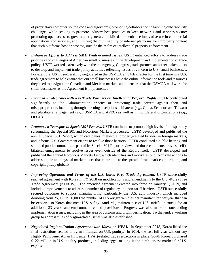of proprietary computer source code and algorithms; promoting collaboration in tackling cybersecurity challenges while seeking to promote industry best practices to keep networks and services secure; promoting open access to government-generated public data to enhance innovative use in commercial applications and services; and, limiting the civil liability of internet platforms for third party content that such platforms host or process, outside the realm of intellectual property enforcement.

- *Enhanced Efforts to Address SME Trade-Related Issues.* USTR enhanced efforts to address trade priorities and challenges of American small businesses in the development and implementation of trade policy. USTR worked extensively with the interagency, Congress, trade partners and other stakeholders to develop and implement trade policy activities reflecting issues of concern to U.S. small businesses. For example, USTR successfully negotiated in the USMCA an SME chapter for the first time in a U.S. trade agreement to help ensure that our small businesses have the online information tools and resources they need to navigate the Canadian and Mexican markets and to ensure that the USMCA will work for small businesses as the Agreement is implemented.
- *Engaged Strategically with Key Trade Partners on Intellectual Property Rights.* USTR contributed significantly to the Administration priority of protecting trade secrets against theft and misappropriation, including through pursuing disciplines in bilateral (*e.g.*, China, Ecuador, and Taiwan) and plurilateral engagement (*e.g*., USMCA and APEC) as well as in multilateral organizations (*e.g.*, OECD).
- *Promoted a Transparent Special 301 Process.* USTR continued to promote high levels of transparency surrounding the Special 301 and Notorious Markets processes. USTR developed and published the annual Special 301 Report, which catalogues intellectual property-related barriers in foreign markets, and informs U.S. Government efforts to resolve those barriers. USTR conducted a public hearing and solicited public comments as part of its Special 301 Report review, and those comments drove specific bilateral engagements to resolve issues even outside of the Report itself. USTR developed and published the annual Notorious Markets List, which identifies and motivates public-private actions to address online and physical marketplaces that contribute to the spread of trademark counterfeiting and copyright piracy globally.
- *[Improving Operation and Terms of the U.S.-Korea Free Trade Agreement.](https://ustr.gov/about-us/policy-offices/press-office/press-releases/2015/march/statement-ambassador-michael-froman)* USTR successfully reached agreement with Korea in FY 2018 on modifications and amendments to the U.S.-Korea Free Trade Agreement (KORUS). The amended agreement entered into force on January 1, 2019, and included improvements to address a number of regulatory and non-tariff barriers. USTR successfully secured outcomes to support manufacturing, particularly the U.S. auto industry, which included doubling from 25,000 to 50,000 the number of U.S.-origin vehicles per manufacturer per year that can be exported to Korea that meet U.S. safety standards, maintenance of U.S. tariffs on trucks for an additional 23 years, and environment-related provisions. Progress was also made on outstanding implementation issues, including in the area of customs and origin verification. To that end, a working group to address rules of origin-related issues was also established.
- *Negotiated Regionalization Agreement with Korea on HPAI.* In September 2018, Korea lifted the final restrictions related to avian influenza on U.S. poultry. In 2014, the last full year without any Highly Pathogenic Avian Influenza (HPAI)-related trade restrictions in place, South Korea purchased \$122 million in U.S. poultry products, including eggs, making it the tenth-largest market for U.S. exporters.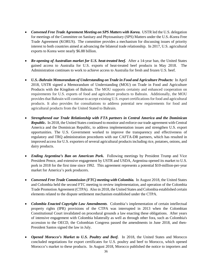- *Convened Free Trade Agreement Meeting on SPS Matters with Korea.* USTR led the U.S. delegation for meetings of the Committee on Sanitary and Phytosanitary (SPS) Matters under the U.S.-Korea Free Trade Agreement (KORUS). The committee provides a mechanism for discussing issues of priority interest to both countries aimed at advancing the bilateral trade relationship. In 2017, U.S. agricultural exports to Korea were nearly \$6.88 billion.
- *Re-opening of Australian market for U.S. heat-treated beef.* After a 14-year ban, the United States gained access to Australia for U.S. exports of heat-treated beef products in May 2018. The Administration continues to work to achieve access to Australia for fresh and frozen U.S. beef.
- *U.S.-Bahrain Memorandum of Understanding on Trade in Food and Agriculture Products:* In April 2018, USTR signed a Memorandum of Understanding (MOU) on Trade in Food and Agriculture Products with the Kingdom of Bahrain. The MOU supports certainty and enhanced cooperation on requirements for U.S. exports of food and agriculture products to Bahrain. Additionally, the MOU provides that Bahrain will continue to accept existing U.S. export certifications for food and agricultural products. It also provides for consultations to address potential new requirements for food and agricultural products from the United Stated to Bahrain.
- *Strengthened our Trade Relationship with FTA partners in Central America and the Dominican Republic.* In 2018, the United States continued to monitor and enforce our trade agreement with Central America and the Dominican Republic, to address implementation issues and strengthen U.S. export opportunities. The U.S. Government worked to improve the transparency and effectiveness of regulatory and TRQ administration procedures with our CAFTA-DR partners, which has resulted in improved access for U.S. exporters of several agricultural products including rice, potatoes, onions, and dairy products.
- *Ending Argentina's Ban on American Pork.*Following meetings by President Trump and Vice President Pence, and extensive engagement by USTR and USDA, Argentina opened its market to U.S. pork in 2018 for the first time since 1992. This agreement represents a potential \$10-million-per-year market for America's pork producers.
- *Convened Free Trade Commission (FTC) meeting with Colombia.* In August 2018, the United States and Colombia held the second FTC meeting to review implementation, and operation of the Colombia Trade Promotion Agreement (CTPA). Also in 2018, the United States and Colombia established certain elements related to the dispute settlement mechanism established under the CTPA.
- *Colombia Enacted Copyright Law Amendments.* Colombia's implementation of certain intellectual property rights (IPR) provisions of the CTPA was interrupted in 2013 when the Colombian Constitutional Court invalidated on procedural grounds a law enacting these obligations. After years of intensive engagement with Colombia bilaterally as well as through other fora, such as Colombia's accession to the OECD, the Colombian Congress passed the amendments in June 2018, and then-President Santos signed the law in July.
- *Opened Morocco's Market to U.S. Poultry and Beef.* In 2018, the United States and Morocco concluded negotiations for export certificates for U.S. poultry and beef to Morocco, which opened Morocco's market to these products. In August 2018, Morocco published the notice to importers and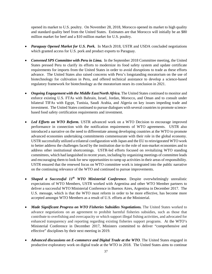opened its market to U.S. poultry. On November 28, 2018, Morocco opened its market to high quality and standard quality beef from the United States. Estimates are that Morocco will initially be an \$80 million market for beef and a \$10 million market for U.S. poultry.

- *Paraguay Opened Market for U.S. Pork.* In March 2018, USTR and USDA concluded negotiations which granted access for U.S. pork and product exports to Paraguay.
- *Convened SPS Committee with Peru in Lima.* In the September 2018 Committee meeting, the United States pressed Peru to clarify its efforts to modernize its food safety system and update certificate requirements for imports from the United States in order to avoid disruptions to trade as these efforts advance. The United States also raised concerns with Peru's longstanding moratorium on the use of biotechnology for cultivation in Peru, and offered technical assistance to develop a science-based regulatory framework for biotechnology as the moratorium nears its conclusion in 2021.
- *Ongoing Engagement with the Middle East/North Africa.* The United States continued to monitor and enforce existing U.S. FTAs with Bahrain, Israel, Jordan, Morocco, and Oman and to consult under bilateral TIFAs with Egypt, Tunisia, Saudi Arabia, and Algeria on key issues impeding trade and investment. The United States continued to pursue dialogues with several countries to promote sciencebased food safety certification requirements and investment.
- *Led Efforts on WTO Reform.* USTR advanced work on a WTO Decision to encourage improved performance in connection with the notification requirements of WTO agreements. USTR also introduced a narrative on the need to differentiate among developing countries at the WTO to promote advanced economies undertaking commitments commensurate with their role in the global economy. USTR successfully utilized a trilateral configuration with Japan and the EU to reinvigorated WTO work to better address the challenges faced by the institution due to the role of non-market economies and to address other institutional shortcomings. USTR-led efforts focused on revitalizing WTO standing committees, which had languished in recent years, including by organizing meetings of committee leads and encouraging them to look for new opportunities to ramp up activities in their areas of responsibility. USTR ensured that the renewed focus on WTO committee work is integrated into the public narrative on the continuing relevance of the WTO and continued to pursue improvements.
- *Shaped a Successful 11th WTO Ministerial Conference*. Despite overwhelmingly unrealistic expectations of WTO Members, USTR worked with Argentina and other WTO Member partners to deliver a successful WTO Ministerial Conference in Buenos Aires, Argentina in December 2017. The U.S. message, which is that the WTO must reform in order to be more effective, has become more accepted amongst WTO Members as a result of U.S. efforts at the Ministerial.
- *Made [Significant Progress on WTO Fisheries Subsidies Negotiations.](https://ustr.gov/trade-agreements/other-initiatives/environmental-goods-agreement)* The United States worked to advance negotiations on an agreement to prohibit harmful fisheries subsidies, such as those that contribute to overfishing and overcapacity or which support illegal fishing activities, and advocated for enhanced transparency and reporting regarding existing fisheries support programs. At the WTO's Ministerial Conference in December 2017, Ministers committed to deliver "comprehensive and effective" disciplines by their next meeting in 2019.
- *Advanced discussions on E-commerce and Digital Trade at the WTO*. The United States engaged in productive exploratory work on digital trade at the WTO in 2018. The United States aims to continue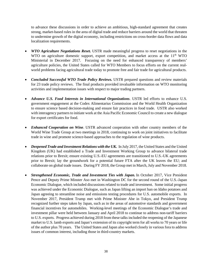to advance these discussions in order to achieve an ambitious, high-standard agreement that creates strong, market-based rules in the area of digital trade and reduce barriers around the world that threaten to undermine growth of the digital economy, including restrictions on cross-border data flows and data localization requirements.

- *WTO Agriculture Negotiations Reset.* USTR made meaningful progress to reset negotiations in the WTO on agriculture domestic support, export competition, and market access at the 11<sup>th</sup> WTO Ministerial in December 2017. Focusing on the need for enhanced transparency of members' agriculture policies, the United States called for WTO Members to focus efforts on the current realworld problems facing agricultural trade today to promote free and fair trade for agricultural products.
- *Concluded Successful WTO Trade Policy Reviews.* USTR prepared questions and review materials for 23 trade policy reviews. The final products provided invaluable information on WTO monitoring activities and implementation issues with respect to major trading partners.
- *Advance U.S. Food Interests in International Organizations*. USTR led efforts to enhance U.S. government engagement at the Codex Alimentarius Commission and the World Health Organization to ensure science based decision-making and ensure fair practices in food trade. USTR also worked with interagency partners to initiate work at the Asia Pacific Economic Council to create a new dialogue for export certificates for food.
- *Enhanced Cooperation on Wine*. USTR advanced cooperation with other country members of the World Wine Trade Group at two meetings in 2018, continuing to work on joint initiatives to facilitate trade in wine and promote science-based approaches to the regulation of wine products.
- *Deepened Trade and Investment Relations with the UK.* In July 2017, the United States and the United Kingdom (UK) had established a Trade and Investment Working Group to advance bilateral trade relations prior to Brexit; ensure existing U.S.-EU agreements are transitioned to U.S.-UK agreements prior to Brexit; lay the groundwork for a potential future FTA after the UK leaves the EU; and collaborate on global trade issues. During FY 2018, the Group met in March, July and November 2018.
- *Strengthened Economic, Trade and Investment Ties with Japan.* In October 2017, Vice President Pence and Deputy Prime Minster Aso met in Washington DC for the second round of the U.S.-Japan Economic Dialogue, which included discussions related to trade and investment. Some initial progress was achieved under the Economic Dialogue, such as Japan lifting an import ban on Idaho potatoes and Japan agreeing to streamline noise and emissions testing procedures for U.S. automobile exports. In November 2017, President Trump met with Prime Minister Abe in Tokyo, and President Trump recognized further steps taken by Japan, such as in the areas of automotive standards and government financial incentives for automobiles. Working-level meetings of the Economic Dialogue's trade and investment pillar were held between January and April 2018 to continue to address non-tariff barriers to U.S. exports. Progress achieved during 2018 from these talks included the reopening of the Japanese market to U.S. lamb exports and Japan's extension of its copyright term for all works to 70 years or life of the author plus 70 years. The United States and Japan also worked closely in various fora to address issues of common interest, including those in third-country markets.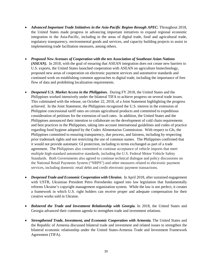- *Advanced Important Trade Initiatives in the Asia-Pacific Region through APEC.* Throughout 2018, the United States made progress in advancing important initiatives to expand regional economic integration in the Asia-Pacific, including in the areas of digital trade, food and agricultural trade, regulatory transparency, environmental goods and services, and capacity building projects to assist in implementing trade facilitation measures, among others.
- *Proposed New Avenues of Cooperation with the ten Association of Southeast Asian Nations (ASEAN).* In 2018, with the goal of ensuring that ASEAN integration does not create new barriers to U.S. exports, the United States launched cooperation with ASEAN on agriculture biotechnology, proposed new areas of cooperation on electronic payment services and automotive standards and continued work on establishing common approaches to digital trade, including the importance of free flow of data and prohibiting localization requirements.
- *Deepened U.S. Market Access in the Philippines.* During FY 2018, the United States and the Philippines worked intensively under the bilateral TIFA to achieve progress on several trade issues. This culminated with the release, on October 22, 2018, of a Joint Statement highlighting the progress achieved. In the Joint Statement, the Philippines recognized the U.S. interest in the extension of Philippine concessional tariff rates on certain agricultural products and committed to expeditious consideration of petitions for the extension of such rates. In addition, the United States and the Philippines announced their intention to collaborate on the development of cold chain requirements and best practices in the Philippines, taking into account international guidelines and codes of practice regarding food hygiene adopted by the Codex Alimentarius Commission. With respect to GIs, the Philippines committed to ensuring transparency, due process, and fairness, including by respecting prior trademark rights and not restricting the use of common names. The Philippines confirmed that it would not provide automatic GI protection, including to terms exchanged as part of a trade agreement. The Philippines also committed to continue acceptance of vehicle imports that meet multiple high-standard automotive standards, including the U.S. Federal Motor Vehicle Safety Standards. Both Governments also agreed to continue technical dialogue and policy discussions on the National Retail Payments System ("NRPS") and other measures related to electronic payment services, including domestic retail debit and credit electronic payment transactions.
- *[Deepened Trade and Economic Cooperation with Ukraine.](https://ustr.gov/about-us/policy-offices/press-office/press-releases/2015/may/united-states-and-ukraine-hold-economic)* In April 2018, after sustained engagement with USTR, Ukrainian President Petro Poroshenko signed into law legislation that fundamentally reforms Ukraine's copyright management organization system. While the law is not perfect, it creates a framework in which U.S. right holders can receive proper and adequate compensation for their creative works sold in Ukraine.
- *[Bolstered the Trade and Investment Relationship with Georgia.](https://ustr.gov/about-us/policy-offices/press-office/press-releases/2015/november/readout-meeting-between-ambassador)* In 2018, the United States and Georgia advanced their common agenda to strengthen trade and investment relations.
- *[Strengthened Trade, Investment, and Economic Cooperation with Armenia.](https://ustr.gov/about-us/policy-offices/press-office/press-releases/2015/may/united-states-and-armenia-sign-trade)* The United States and the Republic of Armenia discussed bilateral trade and investment and related issues to strengthen the bilateral economic relationship under the United States-Armenia Trade and Investment Framework Agreement (TIFA).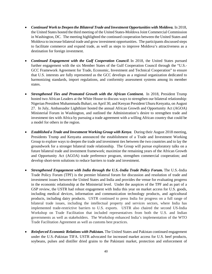- *Continued Work to Deepen the Bilateral Trade and Investment Opportunities with Moldova.* In 2018, the United States hosted the third meeting of the United States-Moldova Joint Commercial Commission in Washington, DC. The meeting highlighted the continued cooperation between the United States and Moldova to increase bilateral trade and grow investment opportunities. The participants discussed steps to facilitate commerce and expand trade, as well as steps to improve Moldova's attractiveness as a destination for foreign investment.
- *Continued Engagement with the Gulf Cooperation Council*. In 2018, the United States pursued further engagement with the six Member States of the Gulf Cooperation Council through the "U.S.- GCC Framework Agreement for Trade, Economic, Investment and Technical Cooperation" to ensure that U.S. interests are fully represented as the GCC develops as a regional organization dedicated to harmonizing standards, import regulations, and conformity assessment systems among its member states.
- *Strengthened Ties and Promoted Growth with the African Continent.* In 2018, President Trump hosted two African Leaders at the White House to discuss ways to strengthen our bilateral relationship: Nigerian President Muhammadu Buhari, on April 30, and Kenyan President Uhuru Kenyatta, on August 27. In July, Ambassador Lighthizer hosted the annual African Growth and Opportunity Act (AGOA) Ministerial Forum in Washington, and outlined the Administration's desire to strengthen trade and investment ties with Africa by pursuing a trade agreement with a willing African country that could be a model for others in the region.
- *Established a Trade and Investment Working Group with Kenya*. During their August 2018 meeting, Presidents Trump and Kenyatta announced the establishment of a Trade and Investment Working Group to explore ways to deepen the trade and investment ties between the two countries and to lay the groundwork for a stronger bilateral trade relationship. The Group will pursue exploratory talks on a future bilateral trade and investment framework; maximize the remaining years of the African Growth and Opportunity Act (AGOA) trade preference program, strengthen commercial cooperation; and develop short-term solutions to reduce barriers to trade and investment.
- *Strengthened Engagement with India through the U.S.-India Trade Policy Forum.* The U.S.-India Trade Policy Forum (TPF) is the premier bilateral forum for discussion and resolution of trade and investment issues between the United States and India and provides the venue for evaluating progress in the economic relationship at the Ministerial level. Under the auspices of the TPF and as part of a GSP review, the USTR had robust engagement with India this year on market access for U.S. goods, including medical devices, information and communication technology products, and agricultural products, including dairy products. USTR continued to press India for progress on a full range of bilateral trade issues, including the intellectual property and services sectors, where India has implemented trade-restrictive barriers to U.S. exports. USTR also chaired the second US-India Workshop on Trade Facilitation that included representatives from both the U.S. and Indian governments as well as stakeholders. The Workshop enhanced India's implementation of the WTO Trade Facilitation Agreement as well as customs best practices.
- *[Reinforced Economic Relations with Pakistan.](https://ustr.gov/about-us/policy-offices/press-office/press-releases/2015/march/joint-statement-inter-sessional)* The United States and Pakistan continued engagement under the U.S.-Pakistan TIFA. USTR advocated for increased market access for U.S. beef products, soybeans, pulses and distiller dried grains to the Pakistani market, protection and enforcement of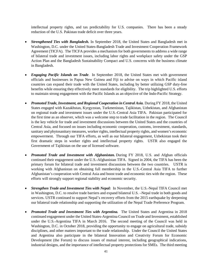intellectual property rights, and tax predictability for U.S. companies. There has been a steady reduction of the U.S. Pakistan trade deficit over three years.

- *[Strengthened Ties with Bangladesh.](https://ustr.gov/about-us/policy-offices/press-office/press-releases/2015/november/readout-second-us-bangladesh-trade)* In September 2018, the United States and Bangladesh met in Washington, D.C. under the United States-Bangladesh Trade and Investment Cooperation Framework Agreement (TICFA). The TICFA provides a mechanism for both governments to address a wide range of bilateral trade and investment issues, including labor rights and workplace safety under the GSP Action Plan and the Bangladesh Sustainability Compact and U.S. concerns with the business climate in Bangladesh.
- *Engaging Pacific Islands on Trade*. In September 2018, the United States met with government officials and businesses in Papua New Guinea and Fiji to advise on ways in which Pacific island countries can expand their trade with the United States, including by better utilizing GSP duty-free benefits while ensuring they effectively meet standards for eligibility. The trip highlighted U.S. efforts to maintain strong engagement with the Pacific Islands as an objective of the Indo-Pacific Strategy.
- *Promoted Trade, Investment, and Regional Cooperation in Central Asia.* During FY 2018, the United States engaged with Kazakhstan, Kyrgyzstan, Turkmenistan, Tajikistan, Uzbekistan, and Afghanistan on regional trade and investment issues under the U.S.-Central Asia TIFA. Pakistan participated for the first time as an observer, which was a welcome step to trade facilitation in the region. The Council is the key vehicle for trade and investment discussions between the United States and the countries of Central Asia, and focused on issues including economic cooperation, customs, investment, standards, sanitary and phytosanitary measures, worker rights, intellectual property rights, and women's economic empowerment. Through our TIFA efforts, as well as our bilateral engagement, Uzbekistan took their first dramatic steps in worker rights and intellectual property rights. USTR also engaged the Government of Tajikistan on the use of licensed software.
- *Promoted Trade and Investment with Afghanistan.* During FY 2018, U.S. and Afghan officials continued their engagement under the U.S.-Afghanistan TIFA. Signed in 2004, the TIFA has been the primary forum for bilateral trade and investment discussions between the two countries. USTR is working with Afghanistan on obtaining full membership in the U.S.-Central Asia TIFA to further Afghanistan's cooperation with Central Asia and boost trade and economic ties with the region. These efforts will strongly support regional stability and economic security.
- *Strengthen Trade and Investment Ties with Nepal:* In November, the U.S.-Nepal TIFA Council met in Washington, D.C. to resolve trade barriers and expand bilateral U.S. –Nepal trade in both goods and services. USTR continued to support Nepal's recovery efforts from the 2015 earthquake by deepening our bilateral trade relationship and supporting the utilization of the Nepal Trade Preference Program.
- *Promoted Trade and Investment Ties with Argentina.* The United States and Argentina in 2018 continued engagement under the United States-Argentina Council on Trade and Investment, established under the U.S.-Argentina TIFA in March 2016. The second meeting of the Council was held in Washington, D.C. in October 2018, providing the opportunity to engage on agricultural trade, subsidy disciplines, and other matters important to the trade relationship. Under the Council the United States and Argentina also participate in the bilateral Innovation and Creativity Forum for Economic Development (the Forum) to discuss issues of mutual interest, including geographical indications, industrial designs, and the importance of intellectual property protections for SMEs. The third meeting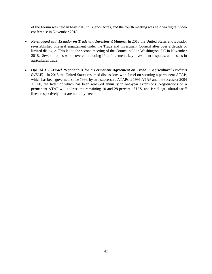of the Forum was held in May 2018 in Buenos Aires, and the fourth meeting was held via digital video conference in November 2018.

- *Re-engaged with Ecuador on Trade and Investment Matters.* In 2018 the United States and Ecuador re-established bilateral engagement under the Trade and Investment Council after over a decade of limited dialogue. This led to the second meeting of the Council held in Washington, DC in November 2018. Several topics were covered including IP enforcement, key investment disputes, and issues in agricultural trade.
- <span id="page-44-0"></span>• *Opened U.S.-Israel Negotiations for a Permanent Agreement on Trade in Agricultural Products (ATAP)*: In 2018 the United States resumed discussions with Israel on securing a permanent ATAP, which has been governed, since 1996, by two successive ATAPs: a 1996 ATAP and the successor 2004 ATAP, the latter of which has been renewed annually in one-year extensions. Negotiations on a permanent ATAP will address the remaining 10 and 28 percent of U.S. and Israel agricultural tariff lines, respectively, that are not duty-free.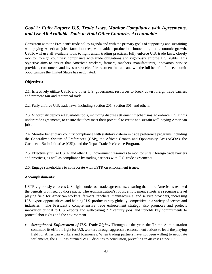### *Goal 2: Fully Enforce U.S. Trade Laws, Monitor Compliance with Agreements, and Use All Available Tools to Hold Other Countries Accountable*

Consistent with the President's trade policy agenda and with the primary goals of supporting and sustaining well-paying American jobs, farm incomes, value-added production, innovation, and economic growth, USTR will use all available tools to fight unfair trading practices, fully enforce U.S. trade laws, closely monitor foreign countries' compliance with trade obligations and vigorously enforce U.S. rights. This objective aims to ensure that American workers, farmers, ranchers, manufacturers, innovators, service providers, consumers, and investors receive fair treatment in trade and win the full benefit of the economic opportunities the United States has negotiated.

#### **Objectives:**

2.1: Effectively utilize USTR and other U.S. government resources to break down foreign trade barriers and promote fair and reciprocal trade.

2.2: Fully enforce U.S. trade laws, including Section 201, Section 301, and others.

2.3: Vigorously deploy all available tools, including dispute settlement mechanisms, to enforce U.S. rights under trade agreements, to ensure that they meet their potential to create and sustain well-paying American jobs.

2.4: Monitor beneficiary country compliance with statutory criteria in trade preference programs including the Generalized System of Preferences (GSP), the African Growth and Opportunity Act (AGOA), the Caribbean Basin Initiative (CBI), and the Nepal Trade Preference Program.

2.5: Effectively utilize USTR and other U.S. government resources to monitor unfair foreign trade barriers and practices, as well as compliance by trading partners with U.S. trade agreements.

2.6: Engage stakeholders to collaborate with USTR on enforcement issues.

#### **Accomplishments:**

USTR vigorously enforces U.S. rights under our trade agreements, ensuring that more Americans realized the benefits promised by those pacts. The Administration's robust enforcement efforts are securing a level playing field for American workers, farmers, ranchers, manufacturers, and service providers, increasing U.S. export opportunities, and helping U.S. producers stay globally competitive in a variety of sectors and industries. The President's comprehensive trade enforcement strategy also promotes and protects innovation critical to U.S. exports and well-paying 21<sup>st</sup> century jobs, and upholds key commitments to protect labor rights and the environment.

• *Strengthened Enforcement of U.S. Trade Rights*. Throughout the year, the Trump Administration continued its effort to fight for U.S. workers through aggressive enforcement actions to level the playing field for American workers and businesses. When trading partners have not been willing to negotiate settlements, the U.S. has pursued WTO disputes to conclusion, prevailing in 48 cases since 1995.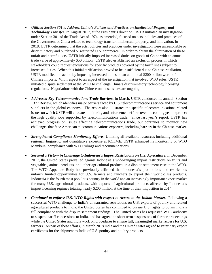- *Utilized Section 301 to Address China's Policies and Practices on Intellectual Property and Technology Transfer.* In August 2017, at the President's direction, USTR initiated an investigation under Section 301 of the Trade Act of 1974, as amended, focused on acts, policies and practices of the Government of China related to technology transfer, intellectual property, and innovation. In 2018, USTR determined that the acts, policies and practices under investigation were unreasonable or discriminatory and burdened or restricted U.S. commerce. In order to obtain the elimination of these unfair and harmful acts, USTR initially imposed increased duties on goods of China with an annual trade value of approximately \$50 billion. USTR also established an exclusion process in which stakeholders could request exclusions for specific products covered by the tariff lines subject to increased duties. When this initial tariff action proved to be insufficient due to Chinese retaliation, USTR modified the action by imposing increased duties on an additional \$200 billion worth of Chinese imports. With respect to an aspect of the investigation that involved WTO rules, USTR initiated dispute settlement at the WTO to challenge China's discriminatory technology licensing regulations. Negotiations with the Chinese on these issues are ongoing.
- *[Addressed Key Telecommunications Trade Barriers.](https://ustr.gov/about-us/policy-offices/press-office/press-releases/2015/april/obama-administration-targets)* In March, USTR conducted its annual [Section](https://ustr.gov/sites/default/files/2015-Section-1377-Report_FINAL.pdf)  [1377 Review,](https://ustr.gov/sites/default/files/2015-Section-1377-Report_FINAL.pdf) which identifies major barriers faced by U.S. telecommunications service and equipment suppliers in the global economy. The report also illustrates the specific telecommunications-related issues on which USTR will allocate monitoring and enforcement efforts over the coming year to protect the high quality jobs supported by telecommunications trade. Since last year's report, USTR has achieved progress on issues affecting telecommunications trade, but continues to monitor new challenges that face American telecommunications exporters, including barriers in the Chinese market.
- *Strengthened Compliance Monitoring Efforts.* Utilizing all available resources including additional regional, linguistic, and quantitative expertise at ICTIME, USTR enhanced its monitoring of WTO Members' compliance with WTO rulings and recommendations.
- *[Secured a Victory in Challenge to Indonesia's Import Restrictions on U.S. Agriculture.](https://ustr.gov/about-us/policy-offices/press-office/press-releases/2015/january/wto-appellate-body-affirms-us)* In December 2017, the United States prevailed against Indonesia's wide-ranging import restrictions on fruits and vegetables, animal products, and other agricultural products in a dispute settlement case at the WTO. The WTO Appellate Body had previously affirmed that Indonesia's prohibitions and restrictions unfairly limited opportunities for U.S. farmers and ranchers to export their world-class products. Indonesia is the fourth most populous country in the world and an increasingly important export market for many U.S. agricultural products, with exports of agricultural products affected by Indonesia's import licensing regimes totaling nearly \$200 million at the time of their imposition in 2014.
- *Continued to enforce U.S. WTO Rights with respect to Access to the Indian Market*. Following a successful WTO challenge to India's unwarranted restrictions on U.S. exports of poultry and related agricultural products to India, the United States has continued to pursue U.S. rights to obtain India's full compliance with the dispute settlement findings. The United States has requested WTO authority to suspend tariff concessions to India, and has agreed to short term suspensions of further proceedings while the United States and India work on procedures to ensure full, meaningful market access for U.S. farmers. As part of these efforts, in March 2018 India and the United States agreed to veterinary export certificates for the shipment to India of U.S. poultry and poultry products.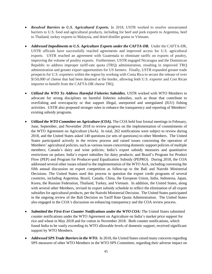- *Resolved Barriers to U.S. Agricultural Exports.* In 2018, USTR worked to resolve unwarranted barriers to U.S. food and agricultural products, including for beef and pork exports to Argentina, beef to Thailand, turkey exports to Malaysia, and dried distiller grains to Vietnam.
- *Addressed Impediments to U.S. Agriculture Exports under the CAFTA-DR.* Under the CAFTA-DR, USTR officials have successfully reached agreements and improved access for U.S. agricultural exports. USTR reached an agreement with Guatemala to eliminate tariffs on exports of poultry, improving the volume of poultry exports. Furthermore, USTR engaged Nicaragua and the Dominican Republic to address improper tariff-rate quota (TRQ) administration, resulting in improved TRQ administration and greater export opportunities for US farmers. Finally, USTR expanded greater trade prospects for U.S. exporters within the region by working with Costa Rica to secure the release of over \$150,000 of cheese that had been detained at the border, allowing both U.S. exporter and Cost Rican importer to benefit from the CAFTA-DR cheese TRQ.
- *Utilized the WTO To Address Harmful Fisheries Subsidies.* USTR worked with WTO Members to advocate for strong disciplines on harmful fisheries subsidies, such as those that contribute to overfishing and overcapacity or that support illegal, unreported and unregulated (IUU) fishing activities. USTR also proposed stronger rules to enhance the transparency and reporting of Members' existing subsidy programs.
- *Utilized the WTO Committee on Agriculture (COA)***.** The COA held four formal meetings in February, June, September, and November 2018 to review progress on the implementation of commitments of the WTO Agreement on Agriculture (AoA). In total, 262 notifications were subject to review during 2018, and the United States asked 140 questions (or sets of questions) to other Members. The United States participated actively in the review process and raised issues concerning the operation of Members' agricultural policies, such as various issues concerning domestic support policies of multiple members; Canada's dairy and wine policies; India's export subsidy measures and quantitative restrictions on pulses; India's export subsidies for dairy products; and Brazil's Program for Product Flow (PEP) and Program for Producer-paid Equalization Subsidy (PEPRO). During 2018, the COA addressed several other issues related to the implementation of the WTO AoA, including convening the fifth annual discussion on export competition as follow-up to the Bali and Nairobi Ministerial Decisions. The United States used this process to question the export credit programs of several countries, including Argentina, Brazil, Canada, China, the European Union, India, Indonesia, Japan, Korea, the Russian Federation, Thailand, Turkey, and Vietnam. In addition, the United States, along with several other Members, revised its export subsidy schedule to reflect the elimination of all export subsidies for agricultural products, per the Nairobi Ministerial Decision. The United States participated in the ongoing review of the Bali Decision on Tariff Rate Quota Administration. The United States also engaged in the COA's discussion on enhancing transparency and the COA review process.
- *Submitted the First-Ever Counter Notifications under the WTO COA:* The United States submitted counter notifications under the WTO Agreement on Agriculture on India's market price support for rice and wheat in May 2018 and for cotton in November 2018. Both counter notifications, which found India to be vastly exceeding its WTO allowable levels of domestic support, received significant support by WTO Members.
- *Addressed SPS Trade Barriers in the WTO.* In 2018, the United States raised many concerns regarding SPS measures of other WTO Members in the WTO SPS Committee, regarding their adverse impact on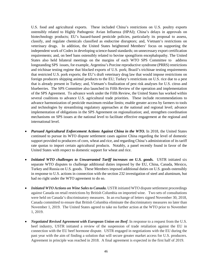U.S. food and agricultural exports. These included China's restrictions on U.S. poultry exports ostensibly related to Highly Pathogenic Avian Influenza (HPAI); China's delays in approvals on biotechnology products; EU's hazard-based pesticide policies, particularly its proposal to assess, classify, and regulate chemicals classified as endocrine disruptors; and, Vietnam's restrictions on veterinary drugs. In addition, the United States heightened Members' focus on supporting the independent work of Codex in developing science-based standards; on unnecessary export certification requirements; and, on beef bans ostensibly related to bovine spongiform encephalopathy. The United States also held bilateral meetings on the margins of each WTO SPS Committee to address longstanding SPS issues, for example, Argentina's Porcine reproductive syndrome (PRRS) restrictions and trichinae testing regime that blocked exports of U.S. pork; Brazil's trichinae testing requirements that restricted U.S. pork exports; the EU's draft veterinary drug law that would impose restrictions on foreign producers shipping animal products to the EU; Turkey's restrictions on U.S. rice due to a pest that is already present in Turkey; and, Vietnam's finalization of pest risk analyses for U.S. citrus and blueberries. The SPS Committee also launched its Fifth Review of the operation and implementation of the SPS Agreement. To advance work under the Fifth Review, the United States has worked within several coalitions to advance U.S. agricultural trade priorities. These include recommendations to advance harmonization of pesticide maximum residue limits; enable greater access by farmers to tools and technologies by streamlining regulatory approaches at the national and regional level; advance implementation of obligations in the SPS Agreement on regionalization; and, strengthen coordination mechanisms on SPS issues at the national level to facilitate effective engagement at the regional and international level.

- *Pursued Agricultural Enforcement Actions Against China in the WTO.* In 2018, the United States continued to pursue its WTO dispute settlement cases against China regarding the level of domestic support provided to producers of corn, wheat and rice, and regarding China's administration of its tariff rate quotas to import certain agricultural products. Notably, a panel recently found in favor of the United States with respect to domestic support for wheat and rice.
- *Initiated WTO challenges to Unwarranted Tariff increases on U.S. goods.* USTR initiated six separate WTO disputes to challenge additional duties imposed by the EU, China, Canada, Mexico, Turkey and Russia on U.S. goods. These Members imposed additional duties on U.S. goods ostensibly in response to U.S. actions in connection with the section 232 investigation of steel and aluminum, but had no right under the WTO agreement to do so.
- *Initiated WTO Actions on Wine Sales to Canada.* USTR initiated WTO dispute settlement proceedings against Canada on retail restrictions by British Columbia on imported wine. Two sets of consultations were held on Canada's discriminatory measures. In an exchange of letters signed November 30, 2018, Canada committed to ensure that British Columbia eliminate the discriminatory measures no later than November 1, 2019. The United States agreed to take no further action at the WTO prior to November 1, 2019.
- *Negotiated Revised Agreement with European Union on Beef*. In response to a request from the U.S. beef industry, USTR initiated a review of the suspension of trade retaliation against the EU in connection with the EU beef hormone dispute. USTR engaged in negotiations with the EU during the past year with the aim of finding a solution that will secure greater market access for U.S. producers. Agreement in principle was reached in 2018. A final agreement is expected in the first half of 2019.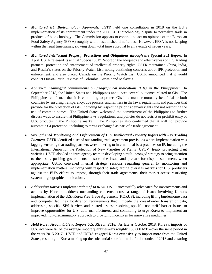- *Monitored EU Biotechnology Approvals.* USTR held one consultation in 2018 on the EU's implementation of its commitment under the 2006 EU Biotechnology dispute to normalize trade in products of biotechnology. The Commission appears to continue to act on opinions of the European Food Safety Agency (EFSA) roughly within established timeframes. However, EFSA is not keeping within the legal timeframes, slowing down total time approval to an average of seven years.
- *[Monitored Intellectual Property Protections and Obligations through the Special 301 Report.](https://ustr.gov/about-us/policy-offices/press-office/press-releases/2015/april/ustr-releases-annual-special-301)* In April, USTR released its annual "Special 301" Report on the adequacy and effectiveness of U.S. trading partners' protection and enforcement of intellectual property rights. USTR maintained China, India, and Russia's status on the Priority Watch List, noting continuing concerns about IPR protection and enforcement, and also placed Canada on the Priority Watch List. USTR announced that it would conduct Out-of-Cycle Reviews of Colombia, Kuwait and Malaysia.
- *Achieved meaningful commitments on geographical indications (GIs) in the Philippines:* In September 2018, the United States and Philippines announced several outcomes related to GIs. The Philippines confirmed that it is continuing to protect GIs in a manner mutually beneficial to both countries by ensuring transparency, due process, and fairness in the laws, regulations, and practices that provide for the protection of GIs, including by respecting prior trademark rights and not restricting the use of common names. The United States welcomed the commitment of the Philippines to further discuss ways to ensure that Philippine laws, regulations, and policies do not restrict or prohibit entry of U.S. products in the Philippine market. The Philippines also confirmed that it will not provide automatic GI protection, including to terms exchanged as part of a trade agreement.
- *Strengthened Monitoring and Enforcement of U.S. Intellectual Property Rights with Key Trading Partners.* USTR identified a set of outstanding trade agreement provisions where implementation was lagging, ensuring that trading partners were adhering to international best practices on IP, including the International Union for the Protection of New Varieties of Plants (UPOV) treaty protecting plant varieties. USTR also led an intra-agency team in developing a multi-pronged strategy to bring attention to the issue, pushing governments to solve the issue, and prepare for dispute settlement, when appropriate. USTR convened internal strategy sessions regarding general IP monitoring and implementation matters, including with respect to safeguarding overseas markets for U.S. producers against the EU's efforts to impose, through their trade agreements, their market-access-restricting system of geographical indications.
- *Addressing Korea's Implementation of KORUS.* USTR successfully advocated for improvements and actions by Korea to address outstanding concerns across a range of issues involving Korea's implementation of the U.S.-Korea Free Trade Agreement (KORUS), including lifting burdensome data and computer facilities localization requirements that impede the cross-border transfer of data; addressing specific SPS barriers and related issues; resolving specific non-tariff barrier issues to improve opportunities for U.S. auto manufacturers; and continuing to urge Korea to implement an improved, non-discriminatory approach to providing incentives for innovative medicines.
- *Held Korea Accountable to Import U.S. Rice in 2018.* As late as October 2018, Korea's imports of U.S. rice were far below average import quantities – by roughly 130,000 MT – over the same period in the years 2015-2017. USTR and USDA engaged Korea extensively to import more from the United States, resulting in Korea making up the substantial shortfall in the final months of 2018 and ensuring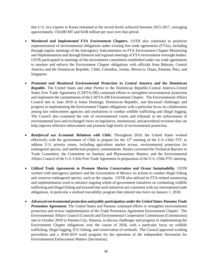that U.S. rice exports to Korea remained at the record levels achieved between 2015-2017, averaging approximately 150,000 MT and \$108 million per year over that period.

- *Monitored and Implemented FTA Environment Chapters.* USTR also continued to prioritize implementation of environmental obligations under existing free trade agreements (FTAs), including through regular meetings of the Interagency Subcommittee on FTA Environment Chapter Monitoring and Implementation and through bilateral and regional meetings of FTA environment oversight bodies. USTR participated in meetings of the environment committees established under our trade agreements to monitor and enforce the Environment Chapter obligations with officials from Bahrain, Central America and the Dominican Republic, Chile, Colombia, Jordan, Morocco, Oman, Panama, Peru, and Singapore.
- *Promoted and Monitored Environmental Protection in Central America and the Dominican Republic***.** The United States and other Parties to the Dominican Republic-Central America-United States Free Trade Agreement (CAFTA-DR) continued efforts to strengthen environmental protection and implement the commitments of the CAFTA-DR Environment Chapter. The Environmental Affairs Council met in June 2018 in Santo Domingo, Dominican Republic, and discussed challenges and progress in implementing the Environment Chapter obligations with a particular focus on collaboration among law enforcement agencies and institutions to combat wildlife trafficking and illegal logging. The Council also examined the role of environmental courts and tribunals in the enforcement of environmental laws and exchanged views on legislative, institutional, and procedural revisions that can help improve effective enforcement and promote high levels of environmental protection.
- *Reinforced our Economic Relations with Chile.* Throughout 2018, the United States worked effectively with the government of Chile to prepare for the  $12<sup>th</sup>$  meeting of the U.S.-Chile FTC to address U.S. priority issues, including agriculture market access, environmental protection for endangered species, and intellectual property commitments. Parties convened the Technical Barriers to Trade Committee, the Committee on Sanitary and Phytosanitary Matters, and the Environmental Affairs Council of the U.S.-Chile Free Trade Agreement in preparation of the U.S.-Chile FTC meeting.
- *Utilized Trade Agreements to Promote Marine Conservation and Ocean Sustainability.* USTR worked with interagency partners and the Government of Mexico on actions to combat illegal fishing and conserve endangered species, such as the vaquita. USTR also utilized its FTA-related monitoring and implementation work to advance ongoing whole-of-government initiatives on combatting wildlife trafficking and illegal fishing and ensured that such initiatives are consistent with our international trade obligations, in particular a seafood traceability program that entered into force on January 1, 2018.
- *Advanced environmental protection and public participation under the United States-Panama Trade Promotion Agreement***.** The United States and Panama continued efforts to strengthen environmental protection and review implementation of the Trade Promotion Agreement Environment Chapter. The Environmental Affairs Council (Council) and Environmental Cooperation Commission (Commission) met in October 2018 in Panama City, Panama, to discuss challenges and progress in implementing the Environment Chapter obligations over the course of 2018, with a particular focus on wildlife trafficking, illegal logging, IUU fishing, and conservation of wetlands. The Council approved working procedures and a 2018-2019 work program for the operation of the independent Secretariat for Environmental Enforcement Matters (Secretariat).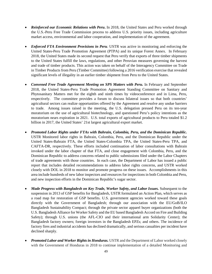- *[Reinforced our Economic Relations with Peru](https://ustr.gov/about-us/policy-offices/press-office/press-releases/2015/november/joint-statement-fifth-united)***.** In 2018, the United States and Peru worked through the U.S.-Peru Free Trade Commission process to address U.S. priority issues, including agriculture market access, environmental and labor cooperation, and implementation of the agreement.
- *Enforced FTA Environment Provisions in Peru.* USTR was active in monitoring and enforcing the United States-Peru Trade Promotion Agreement (PTPA) and its unique Forest Annex. In February 2018, the United States made its second request that Peru verify that exports of three timber shipments to the United States fulfill the laws, regulations, and other Peruvian measures governing the harvest and trade of timber products. This action was taken on behalf of the Interagency Committee on Trade in Timber Products from Peru (Timber Committee) following a 2016 verification exercise that revealed significant levels of illegality in an earlier timber shipment from Peru to the United States.
- *Convened Free Trade Agreement Meeting on SPS Matters with Peru.* In February and September 2018, the United States-Peru Trade Promotion Agreement Standing Committee on Sanitary and Phytosanitary Matters met for the eighth and ninth times by videoconference and in Lima, Peru, respectively. The committee provides a forum to discuss bilateral issues so that both countries' agricultural sectors can realize opportunities offered by the Agreement and resolve any undue barriers to trade. Among issues raised in the meeting, the U.S. delegation pressed Peru on its ten-year moratorium on the use of agricultural biotechnology, and questioned Peru's policy intentions as the moratorium nears expiration in 2021. U.S. total exports of agricultural products to Peru totaled \$1.2 billion in 2017, the United States' 21st largest agricultural export market.
- *Promoted Labor Rights under FTAs with Bahrain, Colombia, Peru, and the Dominican Republic.*  USTR Monitored labor rights in Bahrain, Colombia, Peru, and the Dominican Republic under the United States-Bahrain FTA, the United States-Colombia TPA, the United States-Peru TPA, and CAFTA-DR, respectively. These efforts included continuation of labor consultations with Bahrain invoked under the labor chapter of that FTA, and close engagement with Colombia, Peru, and the Dominican Republic to address concerns related to public submissions filed under the Labor Chapters of trade agreements with those countries. In each case, the Department of Labor has issued a public report that includes detailed recommendations to address labor rights concerns, and USTR worked closely with DOL in 2018 to monitor and promote progress on these issues. Accomplishments in this area include hundreds of new labor inspectors and resources for inspections in both Colombia and Peru, and new inspection efforts in the Dominican Republic's sugar sector.
- *[Made Progress with Bangladesh on Key Trade, Worker Safety, and Labor Issues.](https://ustr.gov/about-us/policy-offices/press-office/press-releases/2015/january/gsp-review-bangladesh-recognizes)* Subsequent to the suspension in 2013 of GSP benefits for Bangladesh, USTR formulated an Action Plan, which serves as a road map for restoration of GSP benefits. U.S. government agencies worked toward these goals directly with the Government of Bangladesh; through our association with the EU/GoB/ILO Bangladesh Sustainability Compact; through the private sector apparel buyer organizations (both the U.S. Bangladesh Alliance for Worker Safety and the EU based Bangladesh Accord on Fire and Building Safety); through U.S. unions (the AFL-CIO and their international arm Solidarity Center); the Bangladesh factory owners; foreign investors in the Bangladesh EPZs; and others. The incidence of factory fires and industrial accidents has declined dramatically, and serious casualties per incident have declined sharply.
- *[Promoted Labor and Worker Rights in Honduras.](https://ustr.gov/about-us/policy-offices/press-office/press-releases/2015/february/statement-us-trade-representative)* USTR and the Department of Labor worked closely with the Government of Honduras in 2018 to continue implementation of a detailed Monitoring and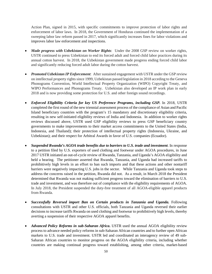Action Plan, signed in 2015, with specific commitments to improve protection of labor rights and enforcement of labor laws. In 2018, the Government of Honduras continued the implementation of a sweeping labor law reform passed in 2017, which significantly increases fines for labor violations and improves labor law enforcement and inspections.

- *Made progress with Uzbekistan on Worker Rights*: Under the 2008 GSP review on worker rights, USTR continued to press Uzbekistan to end its forced adult and forced child labor practices during its annual cotton harvest. In 2018, the Uzbekistan government made progress ending forced child labor and significantly reducing forced adult labor during the cotton harvest.
- *Promoted Uzbekistan IP Enforcement*: After sustained engagement with USTR under the GSP review on intellectual property rights since 1999, Uzbekistan passed legislation in 2018 acceding to the Geneva Phonograms Convention, World Intellectual Property Organization (WIPO) Copyright Treaty, and WIPO Performances and Phonograms Treaty. Uzbekistan also developed an IP work plan in early 2018 and is now providing some protection for U.S. and other foreign sound recordings.
- *[Enforced Eligibility Criteria for key US Preference Programs, including GSP.](http://ustr.gov/about-us/policy-offices/press-office/press-releases/2015/april/statement-us-trade-representative-0)* In 2018, USTR completed the first round of the new triennial assessment process of the compliance of Asian and Pacific Island beneficiary countries with the program's 15 mandatory and discretionary eligibility criteria, resulting in new self-initiated eligibility reviews of India and Indonesia. In addition to worker rights reviews discussed above, USTR used GSP eligibility reviews to press GSP beneficiary country governments to make improvements to their market access commitments to the United States (India, Indonesia, and Thailand); their protection of intellectual property rights (Indonesia, Ukraine, and Uzbekistan); and their respect for Arbitral Awards in favor of U.S. companies (Ecuador).
- *Suspended Rwanda's AGOA trade benefits due to barriers to U.S. trade and investment*. In response to a petition filed by U.S. exporters of used clothing and footwear under AGOA procedures, in June 2017 USTR initiated an out-of-cycle review of Rwanda, Tanzania, and Uganda's AGOA eligibility and held a hearing. The petitioner asserted that Rwanda, Tanzania, and Uganda had increased tariffs to prohibitively high levels in an effort to ban such imports and that these actions and other nontariff barriers were negatively impacting U.S. jobs in the sector. While Tanzania and Uganda took steps to address the concerns raised in the petition, Rwanda did not. As a result, in March 2018 the President determined that Rwanda was not making sufficient progress toward the elimination of barriers to U.S. trade and investment, and was therefore out of compliance with the eligibility requirements of AGOA. In July 2018, the President suspended the duty-free treatment of all AGOA-eligible apparel products from Rwanda.
- *Successfully Reversed import Ban on Certain products in Tanzania and Uganda.* Following consultations with USTR and other U.S. officials, both Tanzania and Uganda reversed their earlier decisions to increase tariffs Rwanda on used clothing and footwear to prohibitively high levels, thereby averting a suspension of their respective AGOA apparel benefits.
- *Advanced Policy Reforms in sub-Saharan Africa***.** USTR used the annual AGOA eligibility review process to advance needed policy reforms in sub-Saharan African countries and to further open African markets to U.S. trade and investment. USTR led and coordinated an interagency review of 49 sub-Saharan African countries to monitor progress on the AGOA eligibility criteria, including whether countries are making continual progress toward establishing, among other criteria, market-based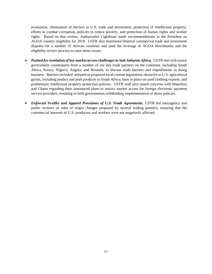economies, elimination of barriers to U.S. trade and investment, protection of intellectual property, efforts to combat corruption, policies to reduce poverty, and protection of human rights and worker rights. Based on that review, Ambassador Lighthizer made recommendations to the President on AGOA country eligibility for 2019. USTR also monitored bilateral commercial trade and investment disputes for a number of African countries and used the leverage of AGOA benchmarks and the eligibility review process to raise those issues.

- *Pushed for resolution of key market access challenges in Sub-Saharan Africa.* USTR met with senior government counterparts from a number of our key trade partners on the continent, including South Africa, Kenya, Nigeria, Angola, and Rwanda, to discuss trade barriers and impediments to doing business. Barriers included: adopted or proposed local content legislation; obstacles to U.S. agricultural goods, including poultry and pork products in South Africa; bans in place on used clothing exports; and problematic intellectual property protection policies. USTR staff also raised concerns with Mauritius and Ghana regarding their announced plans to restrict market access for foreign electronic payment service providers, resulting in both governments withholding implementation of those policies.
- <span id="page-53-0"></span>• *Enforced Textiles and Apparel Provisions of U.S. Trade Agreements.* USTR led interagency and public reviews of rules of origin changes proposed by several trading partners, ensuring that the commercial interests of U.S. producers and workers were not negatively affected.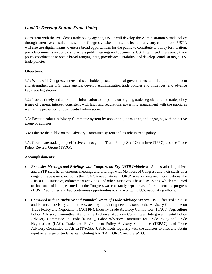### *Goal 3: Develop Sound Trade Policy*

Consistent with the President's trade policy agenda, USTR will develop the Administration's trade policy through extensive consultations with the Congress, stakeholders, and its trade advisory committees. USTR will also use digital means to ensure broad opportunities for the public to contribute to policy formulation, provide comments on policy, and access public hearings and documents. USTR will lead interagency trade policy coordination to obtain broad-ranging input, provide accountability, and develop sound, strategic U.S. trade policies.

#### **Objectives:**

3.1: Work with Congress, interested stakeholders, state and local governments, and the public to inform and strengthen the U.S. trade agenda, develop Administration trade policies and initiatives, and advance key trade legislation.

3.2: Provide timely and appropriate information to the public on ongoing trade negotiations and trade policy issues of general interest, consistent with laws and regulations governing engagement with the public as well as the protection of confidential information.

3.3: Foster a robust Advisory Committee system by appointing, consulting and engaging with an active group of advisors.

3.4: Educate the public on the Advisory Committee system and its role in trade policy.

3.5: Coordinate trade policy effectively through the Trade Policy Staff Committee (TPSC) and the Trade Policy Review Group (TPRG).

### **Accomplishments:**

- *Extensive Meetings and Briefings with Congress on Key USTR Initiatives.* Ambassador Lighthizer and USTR staff held numerous meetings and briefings with Members of Congress and their staffs on a range of trade issues, including the USMCA negotiations, KORUS amendments and modifications, the Africa FTA initiative, enforcement activities, and other initiatives. These discussions, which amounted to thousands of hours, ensured that the Congress was constantly kept abreast of the content and progress of USTR activities and had continuous opportunities to shape ongoing U.S. negotiating efforts.
- *Consulted with an Inclusive and Rounded Group of Trade Advisory Experts.* USTR fostered a robust and balanced advisory committee system by appointing new advisors to the Advisory Committee on Trade Policy and Negotiations (ACTPN), Industry Trade Advisory Committees (ITACs), Agriculture Policy Advisory Committee, Agriculture Technical Advisory Committees, Intergovernmental Policy Advisory Committee on Trade (IGPAC), Labor Advisory Committee for Trade Policy and Trade Negotiations (LAC), Trade and Environment Policy Advisory Committee (TEPAC), and Trade Advisory Committee on Africa (TACA). USTR meets regularly with the advisors to brief and obtain input on a range of trade issues including NAFTA, KORUS and the WTO.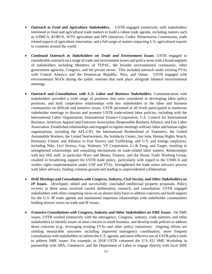- *Outreach to Food and Agriculture Stakeholders*. USTR engaged extensively with stakeholders interested in food and agricultural trade matters to build a robust trade agenda, including matters such as USMCA, KORUS, WTO agriculture and SPS initiatives, Codex Alimentarius Commission, trade related aspects of agriculture innovation, and a full range of matters impacting U.S. agricultural exports to countries around the world.
- *Continued Outreach to Stakeholders on Trade and Environment Issues*. USTR engaged in considerable outreach on a range of trade and environment issues and policy areas with a broad segment of stakeholders including Members of TEPAC, the broader environmental community, other government agencies, Congress, and the private sector.This included outreach under existing FTAs with Central America and the Dominican Republic, Peru, and Oman. USTR engaged with environmental NGOs during the public sessions that took place alongside bilateral environmental meetings.
- *Outreach and Consultations with U.S. Labor and Business Stakeholders.* Communication with stakeholders provided a wide range of positions that were considered in developing labor policy positions, and built cooperative relationships with key stakeholders in the labor and business communities on difficult and sensitive issues. USTR personnel at all levels participated in numerous stakeholder meetings to discuss and promote USTR trade-related labor policies, including with the International Labor Organization, International Finance Corporation, U.S. Council for International Business, American Apparel and Footwear Association, Responsible Business Alliance, and Fair Labor Association. Established relationships and engaged in regular meetings with key labor and human rights organizations, including the AFL-CIO, the International Brotherhood of Teamsters, the United Automobile Workers, the United Steelworkers, the Solidarity Center, Just Jobs, Human Rights Watch, Humanity United, and Alliance to End Slavery and Trafficking, and U.S. and foreign employers, including Nike, Levi Strauss, Gap, Walmart, VF Corporation, Li & Fung, and Target, resulting in strengthened relationships and consulting mechanisms on trade-related labor matters. Relationships with key Hill staff, in particular Ways and Means, Finance, and the House Trade Working Group, resulted in broadening support for USTR trade policy, particularly with regard to the USMCA and worker rights implementation under GSP and FTAs. Strengthened the trade union advisory process with labor advisors, finding common ground and leading to unprecedented collaboration.
- *Held Meetings and Consultations with Congress, Industry, Civil Society, and Other Stakeholders on IP Issues.* Developed, tabled and successfully concluded intellectual property proposals. Policy reviews in these areas involved careful deliberation, research, and consultation. USTR engaged stakeholders with often competing views on an almost daily basis to address concerns and build support for the U.S. IP trade agenda and maintained important relationships with stakeholder communities holding diverse views on trade and IP issues.
- *Extensive Consultations with Congress, Industry and Other Stakeholders on SME Issues*. On SME issues, USTR worked extensively with the interagency, Congress, industry, trade partners, and other stakeholders to identify issues of most concern to small business, and develop trade policies to address those concerns (e.g., leveraging existing FTAs and other policy initiatives). Ongoing efforts are yielding measurable outcomes including improved interagency coordination, more frequent consultations with stakeholders to inform the U.S. agenda, and more effective use of USTR policy tools to address SME issues. For example, in 2018 USTR convened the U.S.-EU SME Workshop in partnership with SBA, Commerce, and the Department of Labor to engage directly with local SME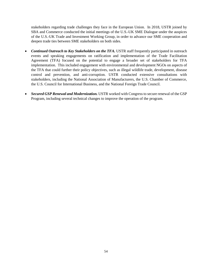stakeholders regarding trade challenges they face in the European Union. In 2018, USTR joined by SBA and Commerce conducted the initial meetings of the U.S.-UK SME Dialogue under the auspices of the U.S.-UK Trade and Investment Working Group, in order to advance our SME cooperation and deepen trade ties between SME stakeholders on both sides.

- *Continued Outreach to Key Stakeholders on the TFA.* USTR staff frequently participated in outreach events and speaking engagements on ratification and implementation of the Trade Facilitation Agreement (TFA) focused on the potential to engage a broader set of stakeholders for TFA implementation. This included engagement with environmental and development NGOs on aspects of the TFA that could further their policy objectives, such as illegal wildlife trade, development, disease control and prevention, and anti-corruption. USTR conducted extensive consultations with stakeholders, including the National Association of Manufacturers, the U.S. Chamber of Commerce, the U.S. Council for International Business, and the National Foreign Trade Council.
- <span id="page-56-0"></span>• *Secured GSP Renewal and Modernization*. USTR worked with Congress to secure renewal of the GSP Program, including several technical changes to improve the operation of the program.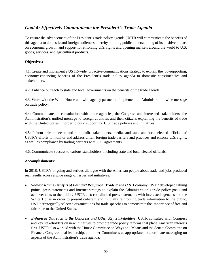### *Goal 4: Effectively Communicate the President's Trade Agenda*

To ensure the advancement of the President's trade policy agenda, USTR will communicate the benefits of this agenda to domestic and foreign audiences, thereby building public understanding of its positive impact on economic growth, and support for enforcing U.S. rights and opening markets around the world to U.S. goods, services, and agricultural products.

#### **Objectives:**

4.1: Create and implement a USTR-wide, proactive communications strategy to explain the job-supporting, economy-enhancing benefits of the President's trade policy agenda to domestic constituencies and stakeholders.

4.2: Enhance outreach to state and local governments on the benefits of the trade agenda.

4.3: Work with the White House and with agency partners to implement an Administration-wide message on trade policy.

4.4: Communicate, in consultation with other agencies, the Congress and interested stakeholders, the Administration's unified message to foreign countries and their citizens explaining the benefits of trade with the United States, in order to build support for U.S. trade policies and initiatives.

4.5: Inform private sector and non-profit stakeholders, media, and state and local elected officials of USTR's efforts to monitor and address unfair foreign trade barriers and practices and enforce U.S. rights, as well as compliance by trading partners with U.S. agreements.

4.6: Communicate success to various stakeholders, including state and local elected officials.

#### **Accomplishments:**

In 2018, USTR's ongoing and serious dialogue with the American people about trade and jobs produced real results across a wide range of issues and initiatives.

- *[Showcased the Benefits of Fair and Reciprocal Trade to the U.S. Economy.](https://ustr.gov/about-us/policy-offices/press-office/press-releases/2015/october/ustr-froman-sen-tom-carper-and-sen)* USTR developed talking points, press statements and internet strategy to explain the Administration's trade policy goals and achievements to the public. USTR also coordinated press statements with interested agencies and the White House in order to present coherent and mutually reinforcing trade information to the public. USTR strategically selected organizations for trade speeches to demonstrate the importance of free and fair trade to the United States.
- *Enhanced Outreach to the Congress and Other Key Stakeholders.* USTR consulted with Congress and key stakeholders on new initiatives to promote trade policy reforms that place American interests first. USTR also worked with the House Committee on Ways and Means and the Senate Committee on Finance, Congressional leadership, and other Committees as appropriate, to coordinate messaging on aspects of the Administration's trade agenda.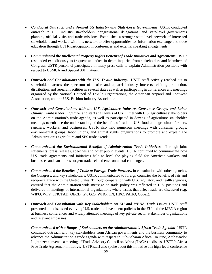- *[Conducted Outreach and Informed US Industry and State-Level Governments.](https://ustr.gov/about-us/policy-offices/press-office/press-releases/2015/april/ustr-froman-and-congressman-brad)* USTR conducted outreach to U.S. industry stakeholders, congressional delegations, and state-level governments planning official visits and trade missions. Established a stronger state-level network of interested stakeholders and worked with this network to offer opportunities for information exchange and trade education through USTR participation in conferences and external speaking engagements.
- *Communicated the Intellectual Property Rights Benefits of Trade Initiatives and Agreements.* USTR responded expeditiously to frequent and often in-depth inquiries from stakeholders and Members of Congress. USTR personnel participated in many press calls to explain Administration positions with respect to USMCA and Special 301 matters.
- *Outreach and Consultations with the U.S. Textile Industry***.** USTR staff actively reached out to stakeholders across the spectrum of textile and apparel industry interests, visiting production, distribution, and research facilities in several states as well as participating in conferences and meetings organized by the National Council of Textile Organizations, the American Apparel and Footwear Association, and the U.S. Fashion Industry Association.
- *Outreach and Consultations with the U.S. Agriculture Industry, Consumer Groups and Labor Unions.* Ambassador Lighthizer and staff at all levels of USTR met with U.S. agriculture stakeholders on the Administration's trade agenda, as well as participated in dozens of agriculture stakeholder meetings to enhance the understanding of the benefits of trade to U.S. food and agriculture farmers, ranchers, workers, and businesses. USTR also held numerous meetings with consumer groups, environmental groups, labor unions, and animal rights organizations to promote and explain the Administration's agriculture and SPS trade agenda.
- *Communicated the Environmental Benefits of Administration Trade Initiatives*. Through joint statements, press releases, speeches and other public events, USTR continued to communicate how U.S. trade agreements and initiatives help to level the playing field for American workers and businesses and can address urgent trade-related environmental challenges.
- *Communicated the Benefits of Trade to Foreign Trade Partners.* In consultation with other agencies, the Congress, and key stakeholders, USTR communicated to foreign countries the benefits of fair and reciprocal trade with the United States. Through cooperation with U.S. regulatory and health agencies, ensured that the Administration-wide message on trade policy was reflected in U.S. positions and delivered in meetings of international organizations where issues that affect trade are discussed (e.g. WIPO, WFP, UNCTAD, OECD, G7, G20, WHO, UN, HRC, PAHO, Codex).
- *Outreach and Consultation with Key Stakeholders on EU and MENA Trade Issues.* USTR staff presented and discussed evolving U.S. trade and investment policies in the EU and the MENA region at business conferences and widely attended meetings of key private sector stakeholder organizations and relevant embassies.

*Communicated with a Range of Stakeholders on the Administration's Africa Trade Agenda:* USTR continued outreach with key stakeholders from African governments and the business community to advance the Administration's trade agenda with respect to Sub-Saharan Africa. In June, Ambassador Lighthizer convened a meeting of Trade Advisory Council on Africa (TACA) to discuss USTR's Africa Free Trade Agreement Initiative. USTR staff also spoke about this initiative at a high-level conference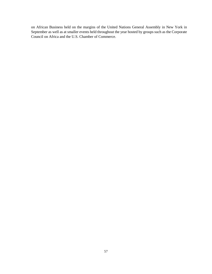<span id="page-59-0"></span>on African Business held on the margins of the United Nations General Assembly in New York in September as well as at smaller events held throughout the year hosted by groups such as the Corporate Council on Africa and the U.S. Chamber of Commerce.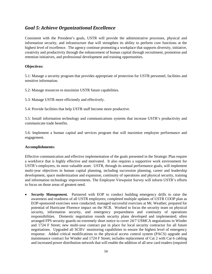### *Goal 5: Achieve Organizational Excellence*

Consistent with the President's goals, USTR will provide the administrative processes, physical and information security, and infrastructure that will strengthen its ability to perform core functions at the highest level of excellence. The agency continue promoting a workplace that supports diversity, initiative, creativity and productivity through the enhancement of human capital through recruitment, promotion and retention initiatives, and professional development and training opportunities.

#### **Objectives:**

5.1: Manage a security program that provides appropriate of protection for USTR personnel, facilities and sensitive information.

5.2: Manage resources to maximize USTR future capabilities.

5.3: Manage USTR more efficiently and effectively.

5.4: Provide facilities that help USTR staff become more productive.

5.5: Install information technology and communications systems that increase USTR's productivity and communicate trade benefits.

5.6: Implement a human capital and services program that will maximize employee performance and engagement.

#### **Accomplishments:**

Effective communication and effective implementation of the goals presented in the Strategic Plan require a workforce that is highly effective and motivated. It also requires a supportive work environment for USTR's employees, its most valuable asset. USTR, through its annual performance goals, will implement multi-year objectives in human capital planning, including succession planning, career and leadership development, space modernization and expansion, continuity of operations and physical security, training and information technology improvements. The Employee Viewpoint Survey will inform USTR's efforts to focus on those areas of greatest need.

• *Security Management.* Partnered with EOP to conduct building emergency drills to raise the awareness and readiness of all USTR employees; completed multiple updates of USTR COOP plan as EOP-sponsored exercises were conducted; managed successful exercises at Mt. Weather; prepared for potential of Hurricane Florence impact on the NCR. Worked to focus the security team on physical security, information security, and emergency preparedness and continuity of operations responsibilities. Domestic negotiation rounds security plans developed and implemented; often arranged FPS security guards on extremely short notice to cover 24/7 USMCA negotiations in Winder and 1724 F Street; new multi-year contract put in place for local security contractor for all future negotiations. Upgraded all SCIFs' monitoring capabilities to ensure the highest level of emergency response. Added critical modifications to the physical access control system (PACS) upgrade and maintenance contract for Winder and 1724 F Street; includes replacement of Cat 2 with Cat 6 cabling and increased power distribution network that will enable the addition of all new card readers (required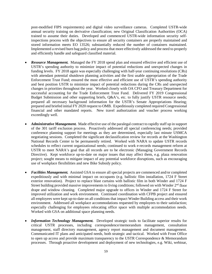post-modified FIPS requirements) and digital video surveillance cameras. Completed USTR-wide annual security training on derivative classification; new Original Classification Authorities (OCA) trained to assume their duties. Developed and commenced USTR-wide information security selfinspections process with the objectives to ensure all security containers are properly maintained and stored information meets EO 13526; substantially reduced the number of containers maintained. Implemented a revised burn bag policy and process that more effectively addressed the need to properly and efficiently handle and safeguard classified material.

- **Resource Management.** Managed the FY 2018 spend plan and ensured effective and efficient use of USTR's spending authority to minimize impact of potential reductions and unexpected changes in funding levels. FY 2018 again was especially challenging with half-year continuing resolutions (CRs) with attendant potential shutdown planning activities and the first usable appropriation of the Trade Enforcement Trust Fund; ensured the most effective and efficient use of USTR's spending authority and best position USTR to minimize impact of potential reductions during the CRs and unexpected changes in priorities throughout the year. Worked closely with OA CFO and Treasury Department for successful accounting for the Trade Enforcement Trust Fund. Delivered FY 2019 Congressional Budget Submission and other supporting briefs,  $Q&A$ 's, etc. to fully justify USTR resource needs; prepared all necessary background information for the USTR's Senate Appropriations Hearing; prepared and briefed initial FY 2020 request to OMB. Expeditiously completed required Congressional financial and other mandated reports. New travel authorization and voucher process working exceedingly well.
- *Administrative Management.* Made effective use of the paralegal contract to rapidly staff up in support of the 301 tariff exclusion process. Proactively addressed all special conferencing needs; provided conference planning support for meetings as they are determined, especially last minute USMCA negotiating sessions. Completed the significant declassification review for records at the Washington National Records Center to be permanently retired. Worked with NARA to update USTR records schedules to reflect current organizational needs; continued to work e-records management reform at USTR to meet NARA's goal that all records are to be electronic (Managing Government Records Directive). Kept workforce up-to-date on major issues that may affect them, e.g. plaza renovation project; sought means to mitigate impact of any potential workforce disruptions, such as encouraging use of workplace flexibilities and new Bike Subsidy policy.
- *Facilities Management.* Assisted GSA to ensure all special projects are commenced and/or completed expeditiously and with minimal impact on occupants (e.g. ballistic film installation, 1724 F Street exterior renovation). Project to replace blast curtains with ballistic film in both Winder and 1724 F Street building provided massive improvements to living conditions; followed on with Winder  $2<sup>nd</sup>$  floor drape and window cleaning. Completed major upgrade to offices in Winder and 1724 F Street for improved utilization and work environment. Continued coordination with CFPB project and ensured all employees were kept up-to-date on all conditions that impact Winder Building access and their work environment. Addressed all workplace accommodations requested by employees to their satisfaction; especially challenging for employees relocating office space with multiple accommodation needs. Worked with GSA on additional space planning needs.
- *Information Technology Management.* Developed strategic tools to facilitate superior results for critical USTR processes, including correspondence/memorandum management, consultation management, staff directory management, agency report management and document management. Communicated IT plans and anticipated needs, both strategic and tactical. Worked with Front Office to open up access and provide maximum transparency to the USTR Correspondence & Memorandum processes. Through proactive development and deployment of new technologies, e.g. Wiki, webinar,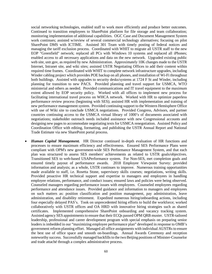social networking technologies, enabled staff to work more efficiently and produce better outcomes. Continued to transition employees to SharePoint platform for file storage and team collaboration; monitoring implementation of additional capabilities. OGC Case and Document Management System work continues; assisted w/review of several commercial technology alternatives; focusing on pilot SharePoint DMS with ICTIME. Assisted 301 Team with timely posting of federal notices and managing the tariff exclusion process. Coordinated with WHIT to migrate all USTR staff to the new EOP "Greenfield" network; replaced all PCs with Windows 10 systems and replaced all iPhones; enabled access to all necessary applications and data on the new network. Upgraded existing public web site, ustr.gov, as required by new Administration. Approximately 10K changes made to the USTR Internet, Intranet site, and wiki sites; assisted USTR Negotiating Offices to add their content within required time frames. Coordinated with WHIT to complete network infrastructure upgrades, including Winder cabling project which provides POE backup on all phones, and installation of Wi-Fi throughout both buildings. Assisted with upgrades to security desks/systems at 1724 F St and Winder, including planning for transition to new PACS. Provided planning and travel support for USMCA, WTO ministerial and others as needed. Provided communications and IT travel equipment to the maximum extent allowed by EOP security policy. Worked with all offices to implement new process for facilitating international travel process on WHCA network. Worked with HR to optimize paperless performance review process (beginning with SES); assisted HR with implementation and training of new performance management system. Provided continuing support to the Western Hemisphere Office with use of Wiki site to conclude USMCA negotiations. Provided Congress, Advisors, and partner countries continuing access to the USMCA virtual library of 1000's of documents associated with negotiations; stakeholder outreach needs included assistance with new Congressional accounts and designing new pages to accommodate negotiating texts for USMCA renegotiation. Assisted Policy and Coordination Office with editing, formatting, and publishing the USTR Annual Report and National Trade Estimate via new SharePoint portal process.

• *Human Capital Management.* HR Director continued in-depth evaluation of HR functions and processes to ensure maximum efficiency and effectiveness. Ensured SES Performance Plans were compliant with OPM's new government-wide SES Performance Management System, and that each plan was structured to assess SES members' achievements as related to USTR goals/objectives. Transitioned SES to web-based USAPerformance system. For Non-SES, met completion goals and ensured timely payout of performance awards. 2018 Employee Viewpoint Survey: provided information and analysis; as a whole, USTR continues to improve. Numerous training opportunities made available to staff, i.e. Rosetta Stone, supervisory skills courses; negotiations, writing skills. Provided proactive HR technical support and expertise to managers and employees in handling employee relations, performance, and conduct issues; ensured laws and policies were being observed. Counseled managers regarding performance issues with employees. Counseled employees regarding performance and attendance issues. Provided guidance and information to managers and employees on such matters as: position classification and position management, pay administration, leave administration, and disability retirement. Expedited numerous hiring/onboarding actions, including four especially delayed PAS's. Took on unprecedented hiring efforts to build the workforce; worked collaboratively with USTR offices and OA HRD with innovative hiring strategies such as shared certificates. Implemented comprehensive SharePoint onboarding and vacancy tracking system. Assisted agency SES appointments to ensure that their ECQs passed OPM QRB muster. USTR-tailored leadership, professional and career development program with special emphasis on preparing senior leaders is imbedded in our "maximizing employee performance plan" developed in response to OMB's government reform planning effort. Managed all office assignments with individual AUSTRs to ensure the best use of office space and smooth on-boardings. Annual Awards Ceremony and reception noteworthy success. Successfully managed backfills to the two Beijing positions of Minister-Counselor and trade attaché through a complex administrative process.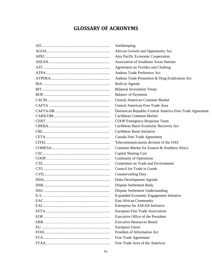# **GLOSSARY OF ACRONYMS**

<span id="page-63-0"></span>

| Antidumping                                             |
|---------------------------------------------------------|
| African Growth and Opportunity Act                      |
| Asia Pacific Economic Cooperation                       |
| <b>Association of Southeast Asian Nations</b>           |
| Agreement on Textiles and Clothing                      |
| Andean Trade Preference Act                             |
| Andean Trade Promotion & Drug Eradication Act           |
| Built-in Agenda                                         |
| <b>Bilateral Investment Treaty</b>                      |
| <b>Balance of Payments</b>                              |
| <b>Central American Common Market</b>                   |
| Central American Free Trade Area                        |
| Dominican Republic-Central America Free Trade Agreement |
| Caribbean Common Market                                 |
| COOP Emergency Response Team                            |
| Caribbean Basin Economic Recovery Act                   |
| Caribbean Basin Initiative                              |
| Canada Free Trade Agreement                             |
| Telecommunications division of the OAS                  |
| Common Market for Eastern & Southern Africa             |
| <b>Capital Sharing Cost</b>                             |
| <b>Continuity of Operations</b>                         |
| Committee on Trade and Environment                      |
| Council for Trade in Goods                              |
| <b>Countervailing Duty</b>                              |
| Doha Development Agenda                                 |
| Dispute Settlement Body                                 |
| Dispute Settlement Understanding                        |
| Expanded Economic Engagement Initiative                 |
| East African Community                                  |
| Enterprise for ASEAN Initiative                         |
| European Free Trade Association                         |
| <b>Executive Office of the President</b>                |
| <b>Executive Resources Board</b>                        |
| European Union                                          |
| Freedom of Information Act                              |
| Free Trade Agreement                                    |
| Free Trade Area of the Americas                         |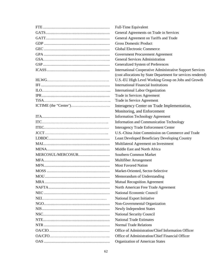| Full-Time Equivalent                                             |
|------------------------------------------------------------------|
| General Agreements on Trade in Services                          |
| General Agreement on Tariffs and Trade                           |
| <b>Gross Domestic Product</b>                                    |
| <b>Global Electronic Commerce</b>                                |
| Government Procurement Agreement                                 |
| <b>General Services Administration</b>                           |
| Generalized System of Preferences                                |
| <b>International Cooperative Administrative Support Services</b> |
| (cost allocations by State Department for services rendered)     |
| U.S.-EU High Level Working Group on Jobs and Growth              |
| <b>International Financial Institutions</b>                      |
| International Labor Organization                                 |
| Trade in Services Agreement                                      |
| Trade in Service Agreement                                       |
| Interagency Center on Trade Implementation,                      |
| Monitoring, and Enforcement                                      |
| <b>Information Technology Agreement</b>                          |
| <b>Information and Communication Technology</b>                  |
| <b>Interagency Trade Enforcement Center</b>                      |
| U.S.-China Joint Commission on Commerce and Trade                |
| Least Developed Beneficiary Developing Country                   |
| Multilateral Agreement on Investment                             |
| Middle East and North Africa                                     |
| Southern Common Market                                           |
| Multifiber Arrangement                                           |
| <b>Most Favored Nation</b>                                       |
| Market-Oriented, Sector-Selective                                |
| Memorandum of Understanding                                      |
| <b>Mutual Recognition Agreement</b>                              |
| North American Free Trade Agreement                              |
| National Economic Council                                        |
| National Export Initiative                                       |
| Non-Governmental Organization                                    |
| Newly Independent States                                         |
| <b>National Security Council</b>                                 |
| <b>National Trade Estimates</b>                                  |
| <b>Normal Trade Relations</b>                                    |
| Office of Administration/Chief Information Officer               |
| Office of Administration/Chief Financial Officer                 |
| Organization of American States                                  |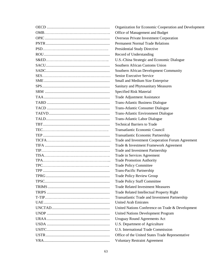| Organization for Economic Cooperation and Development |
|-------------------------------------------------------|
| Office of Management and Budget                       |
| Overseas Private Investment Corporation               |
| <b>Permanent Normal Trade Relations</b>               |
| Presidential Study Directive                          |
| Record of Understanding                               |
| U.S.-China Strategic and Economic Dialogue            |
| Southern African Customs Union                        |
| Southern African Development Community                |
| Senior Executive Service                              |
| Small and Medium Size Enterprise                      |
| Sanitary and Phytosanitary Measures                   |
| Specified Risk Material                               |
| Trade Adjustment Assistance                           |
| <b>Trans-Atlantic Business Dialogue</b>               |
| <b>Trans-Atlantic Consumer Dialogue</b>               |
| <b>Trans-Atlantic Environment Dialogue</b>            |
| Trans-Atlantic Labor Dialogue                         |
| <b>Technical Barriers to Trade</b>                    |
| Transatlantic Economic Council                        |
| Transatlantic Economic Partnership                    |
| Trade and Investment Cooperation Forum Agreement      |
| Trade & Investment Framework Agreement                |
| Trade and Investment Partnership                      |
| Trade in Services Agreement                           |
| <b>Trade Promotion Authority</b>                      |
| <b>Trade Policy Committee</b>                         |
| Trans-Pacific Partnership                             |
| <b>Trade Policy Review Group</b>                      |
| <b>Trade Policy Staff Committee</b>                   |
| <b>Trade Related Investment Measures</b>              |
| Trade Related Intellectual Property Right             |
| Transatlantic Trade and Investment Partnership        |
| <b>United Arab Emirates</b>                           |
| United Nations Conference on Trade & Development      |
| <b>United Nations Development Program</b>             |
| <b>Uruguay Round Agreements Act</b>                   |
| U.S. Department of Agriculture                        |
| U.S. International Trade Commission                   |
| Office of the United States Trade Representative      |
| <b>Voluntary Restraint Agreement</b>                  |